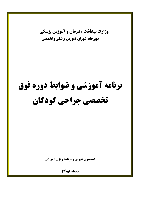**وزارت بهداشت ، درمان و آموزش پزشکی دبیرخانه شورای آموزش پزشکی و تخصصی** 

# برنامه آموزشي و ضوابط دوره فوق تخصصي جراحي كودكان

کمیسیون تدوین و برنامه ریزی آموزشی

دىماه ١٣٨٨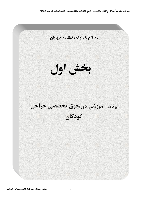به نام فداوند بفشنده مهربان بخش اول برنامه أموزشي دورهفوق تخصصي جراحي كودكان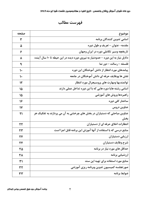فهرست مطالب

| صفحه         | موضوع                                                                            |
|--------------|----------------------------------------------------------------------------------|
| ٣            | اسامی تدوین کنندگان برنامه                                                       |
| ۵            | مقدمه- عنوان – تعریف و طول دوره                                                  |
| ۶            | تاریخچه وسیر تکاملی دوره در ایران وجهان                                          |
| ٨            | دلایل نیاز به این دوره – حدودنیاز به نیروی دوره دیده در این حیطه تا ۱۰ سال آینده |
| ٩            | فلسفه –رسالت –دور نما                                                            |
| 10           | پیامدهای مورد انتظار از دانش آموختگان این دوره                                   |
| $\mathsf{L}$ | نقش ها ووظایف حرفه ای دانش آموختگان در جامعه                                     |
| 12           | توانمنديها ومهارت هاى پروسيجرال مورد انتظار                                      |
| ۱۵           | اسامی رشته هایا دوره هایی که با این دوره تداخل عملی دارند                        |
| ۱۵           | راهبردها وروش های آموزشی                                                         |
| 16           | ساختار کلی دوره                                                                  |
| 17           | عناوين دروس                                                                      |
| 21           | عناوین مباحثی که دستیاران در بخش های چرخشی به آن می پردازند به تفکیک هر          |
|              | بخش                                                                              |
| 22           | انتظارات اخلاق حرفه ای از دستیاران                                               |
| 23           | منابع درسی که با استفاده از آنها آموزش این برنامه قابل اجرا است                  |
| 24           | ارزیابی دستیاران                                                                 |
| 24           | شرح وظايف دستياران                                                               |
| 25           | حداقل های مورد نیاز در برنامه                                                    |
| 28           | ارزشیابی برنامه                                                                  |
| 31           | منابع مورد استفاده برای تهیه این سند                                             |
| 32           | صور تجلسه كميسيون تدوين وبرنامه ريزي أموزشي                                      |
| ٣٣           | ضوابط برنامه                                                                     |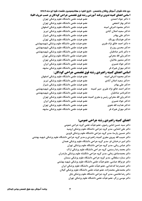|                                | <b>ا سامی اعضای کمیته تدوین برنامه آموزشی رشته فوق تخصصی جراحی کودکان بر حسب حروف الفبا:</b> |
|--------------------------------|----------------------------------------------------------------------------------------------|
| * دکتر جواد احمدی              | عضو هیئت علمی دانشگاه علوم پزشکی تهران                                                       |
| *دکتر بهار اشجع <sub>ی</sub>   | عضو هیئت علمی دانشگاه علوم پزشکی تهران                                                       |
| *دکتر محمود اشرفی امینه        | عضو هيئت علمي دانشگاه علوم پزشكي اصفهان                                                      |
| *دکتر سعید اصلان آباد <u>ی</u> | عضو هيئت علمي دانشگاه علوم پزشكي تبريز                                                       |
| *دکتر علی بهادر                | عضو هیئت علمی دانشگاه علوم پزشکی شیراز                                                       |
| *دکتر هوشنگ پورنگ              | عضو هیئت علمی دانشگاه علوم پزشکی تهران                                                       |
| * دکتر احمد خالق نژاد طبری     | عضو هيئت علمي دانشگاه علوم پزشكي شهيدبهشتي                                                   |
| <b>*دکتر محسن روزرخ</b>        | عضو هیئت علمی دانشگاه علوم پزشکی شهیدبهشتی                                                   |
| * دکتر ناصر صادقیان            | عضو هیئت علمی دانشگاه علوم پزشکی شهیدبهشتی                                                   |
| *دکتر ولی الله محرابی          | عضو هیئت علمی دانشگاه علوم پزشکی تهران                                                       |
| *دكتر منصور ملائيان            | عضو هیئت علمی دانشگاه علوم پزشکی تهران                                                       |
| *دکتر جواد نصیری               | عضو هیئت علمی دانشگاه علوم پزشکی ایران                                                       |
| *دکتر مهران هیراد فر           | عضو هیئت علمی دانشگاه علوم پزشکی مشهد                                                        |

#### **اسامی اعضای کمیته راهبردی رشته فوق تخصصی جراحی کودکان:**

| عضو هیئت علمی دانشگاه علوم پزشکی اصفهان                                        | *دکتر محمود اشرفی امینه               |
|--------------------------------------------------------------------------------|---------------------------------------|
| عضو هيئت علمي دانشگاه علوم پزشكي تبريز                                         | <b>*دکتر سعید اصلان آبادی</b>         |
| عضو هیئت علمی دانشگاه علوم پزشکی شیراز                                         | *دکتر عل <i>ی</i> بهادر               |
| عضو هيئت علمي دانشگاه علوم پزشكي شهيدبهشتي                                     | «دکتر احمد خالق نژاد طبری  دبیر کمیته |
| عضو هیئت علمی دانشگاه علوم پزشکی شهیدبهشتی                                     | <b>*دکترناصر صادقیان</b>              |
| *دکتر ولی الله محرابی رئیس و مجری کمیته عضو هیئت علمی دانشگاه علوم پزشکی تهران |                                       |
| عضو هیئت علمی دانشگاه علوم پزشکی ایران                                         | <b>*دکتر جواد نصیری</b>               |
| عضو هیئت علمی دانشگاه علوم پزشکی تهران                                         | *دکتر هدایت الله نحو <b>ی</b>         |
| عضو هيئت علمي دانشگاه علوم پزشكي مشهد                                          | *دکتر مهران هیراد فر                  |

### **اعضای کمیته راهبردی رشته جراحی عمومی:**

**دکتر سید حسن امامی رضوی، عضو هیأت علمی گروه جراحی عمومی** دکتر علی انشایی، مدیر گروه جراحی دانشگاه علوم پزشکی ارومیه دکتر حسین پارسا، مدیر گروه جراحی دانشگاه علوم پزشکی قزوین **دکتر حبیب الله پیروی مجری کمیته راهبردی و مدیر گروه جراحی دانشگاه علوم پزشکی شهید بهشتی** دکتر امیر درخشان فر، مدیر گروه جراحی دانشگاه علوم پزشکی همدان **دکتر عباس ربانی، مدیر گروه جراحی دانشگاه علوم پزشکی تهران دکتر محمد رضا رستمی، گروه جر احی دانشگاه علوم پزشکی اراک دکتر محمدصادق زمانی، مدیر گروه جراحی دانگشاه علوم پزشکی مازندران دکتر ستاره سلطانی، مدیر گروه جراحی دانشگاه علوم پزشکی سمنان** دکتر عزیزالله عباسی، عضو هیأت علمی دانشگاه علوم پزشکی شهید بهشتی دکتر حمیدرضا کدخدایی، عضو هیأت علمی دانشگاه علوم پزشکی ایران دکتر محمدعلی محمدزاده، عضو هیات علمی دانشگاه علوم پزشکی گیلان **دکتر رضا هاشمی، مدیر گروه جراحی دانشگاه علوم پزشکی بابل** دکتر موسی زرگر، عضو هیأت علمی دانشگاه علوم پزشکی تهران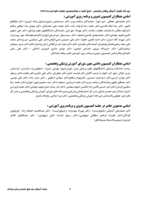## **اسامي همکاران کميسيون تدوين و برنامه ريزي آموزشي :**

دكتر محمدعلى محققي دبير شورا ،نمايندگان منتخب وزير :دكتر سيدمنصور رضوي(مسئول واحد تدوين)، دكتر ابوالفتح لامعي، دكتر رضا لباف قاسمي،دكتر محمد رضا فرتوك زاده، دكتر محمد على صحرائيان، دكتر مهدى يناه خواهى وخانم دكترالهه ملكان راد،نماينده معاونت سلامت: دكتر مهرداد حق ازلى ،نمايندگان دانشگاههاى علوم پزشكى: دكتر على صفوى نائینی(شهید بهشتی)دکتر محمدمهدی قاسمی(مشهد) دکتر سیدرسول میرشریفی(تهران)دکترامیرهوشنگ مهر پرور(یزد) دکتر شهرام آگاه (ایران) دکتر احمد فخری (اهواز) دکتر علی حمیدی مدنی(گیلان)دکتر علی مشکینی (تبریز)دکتر محمد علی سیف ربیعی(همدان)ومجریان کمیته های راهبردی خانم دکتر میترا مدرس گیلانی (زنان وزایمان)خانم دکتر مریم رسولیان (روانپزشکی) دکتر حبیباله پیروی (جراحی عمومی) دکتر مهدی صابری فیروزی (داخلی ) دکتر علی ربانی (کودکان)وکارشناس کمیسیون تدوین و برنامه ریزی آموزشی خانم ریحانه بنازادگان

## اسامی همکاران کمیسیون دائمی معین شورای آموزش پزشکی وتخصصی :

ریاست دانشکده پزشکی دانشگاههای علوم پزشکی ایران ،تهران،شهید بهشتی ،شیراز ، اصفهان،یزد، مازندران ،کردستان، تبریز، گیلان، شهر کرد، اهواز به ترتیب آقایان دکتر فراست کیش،دکتر جعفریان ،دکتر علی حائری،دکتر نجابت،دکتر رزمجو، دکتر مهران کریمی،دکتر سیدحمزه حسینی، دکتربهرام نیکخو،دکتر سوادی اسکوئی ، دکتر حیدر زاده ،دکتر علی مومنی، دکتر مصطفی فقهی ونمایندگان منتخب وزیر:دکتر مجید ابریشمی (مشهد)،دکتر سید منصوررضوی (تهران)دکتر محمد رضا شکیبی(کرمان)دکتر امیر حسین قاضی زاده هاشمی (شهید بهشتی )دکتر نادر ممتاز منش(شهید بهشتی)دکتر مجید فروردین (شیراز )ودکتر امیر محسن ضیائی مدیر کل اعتباربخشی وارزیابی ودبیرخانه های شورای آموزش پزشکی وتخصصی و مدیر کل دفتر امور حقوقی وکارشناس دبیرخانه آموزش پزشکی وتخصصی، دکتر نیره اسلامی وفرانک بامیان

## **اسامی مدعوین حاضر در جلسه کمیسیون تدوین و برنامهریزی آموزشی :**

دكتر محمدتقى آشتيانى (پاتولوژيست) – دكتر مهرزاد مهديزاده (راديولوژيست) – دكتر عبدالحميد كجباف زاده (اورولوژى كودكان)دكتر عليرضا ابراهيم سلطاني (بيهوشي)-دكتر رسول فراست كيش (بيهوشي)- دكتر عبدالجليل كلانتر هرمزي(ترميمي،پلاستيک وسوختگي)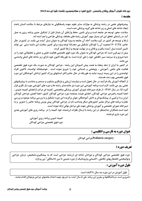#### مقدمه :

پیشرفتهای علمی در رشته پزشکی به موازات سایر علوم جهت پاسخگوئی به نیازهای مرتبط با سلامت انسان باعث ایجاد شاخه های اصلی و زیر شاخه های گروه پزشکی شده است. سلامت، محور توسعه هر جامعه است و برای تامین ،حفظ وارتقای آن بایداز قبل از تشکیل جنین برنامه ریزی به عمل آید. در راستای تحقق این امر بسیار مهم، آموزش رشته های مختلف پزشکی طراحی و اجرا شده اند. ارتقا و توسعه هر کشور در گرو سلامت آحاد آن جامعه به ویژه کودکان به عنوان نسل آینده می باشد. در کشوردر حال حاضر، ۳۵٪تا ۴۰٪جمعیت آن را کودکان تشکیل می دهد،لذا توجه ویژه برای تامین سلامت این دامنه سنی ً می تواند تامين کننده نسل آينده سالم و پر تلاش و در نهايت توسعه و ارتقا کشور گردد. بیش از نیم قرن است که جراحی کودکان به عنوان یک دوره فوق تخصصی فعالیت علمی و عملی و تحقیقاتی خود را در دنیا شروع و به سرعت سیر تکاملی خود را طی کرده است ،به طوریکه اکنون خود دارای زیر شاخه های اصلی واساسی مے باشد. در کشور ما ایران از دهه پنجاه به همت پیش کسوتان این رشته ، جراحی کودکان به صورت یک دوره فوق تخصصی فعالیت های علمی ،آموزشی ، پژوهشی و خدماتی خود را شروع نموده است . خوشبختانه توانسته، تاکنون افراد توانمندی را در این زمینه تربیت نماید به طوریکه در حال حاضر،اکثر استانهای بزرگ کشور ازدانش آموختگان این دوره فوق تخصصي بهره مند هستند. از آنجاکه آموزش یک فرآیند در حال تحول است و نیازمند ارزیابی و بازنگری متناوب و مستمر و متناسب با پیشرفتهای علمی روز می باشد، لازم است برنامه آموزشی این دوره نیز مانندسایر رشته ها و دوره های آموزشی مورد باز نگری قرار گیرد لذا ،در سال ۱۳۸۷ ، از طرف دبیرخانه شورای آموزش پزشکی وتخصصی ،کمیته ای مرکب ازاعضای کمیته تدوین ، اعضا كميته راهبردي جراحي كودكان، اعضاي هيئت ممتحنه دوره جراحي كودكان كشور، اعضا انجمن جراحان كودكان ایران و با ترکیبی از پیشکسوتان و دانش آموختگان جوان برگزیده این دوره تشکیل و با بررسی برنامه موجود و بررسی تجارت برنامه های مراکز معتبر کشورهای دیگر وصاحب نام در جراحی کودکان پیش نویس برنامه حاضر را تدوین ًو به دبیرخانه شورای تخصصی و آموزش پزشکی جهت طی مراحل نهائی ارائه نموده است. امید است همکاران صاحبنظر در این رشته با ارسال نظرات ارزشمند خود کمیته را در برنامه ریزی های آموزشی بعدی

> كميته تدوين برنامه ريزي آموزشي دورہ فوق تخصصی جراحی کودکان

### عنوان دوره به فارسی و انگلیسی :

این دوره یاری فرمایند.

Pediatric surgeryجراحی کودکان

### **تعریف دوره :**

دوره فوق تخصصی جراحی کودکان و نوزادان شاخه ای ازرشته جراحی است که به پیشگیری،تشخیص، درمان جراحی وتوانبخشي ناهنجاريهاي تكاملي ، اكتسابي وتروماتيک از دوره جنيني تا سن ١٨سالگي ٌ مي پردازد.

## طول دوره آموزش :

طول آموزش در این دوره سه سال (۳۶ماه) است.

\*ضروري است ،دردانشگاهها ي مجري اين برنامه ،طي ۵ سال آينده ،به تدريج ،جهت احداث بخشهاي جراحي نوجوانان اقدام نمايند.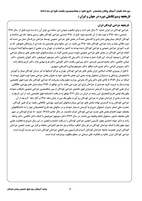### تا. تخجه حراحي كودكان ايران:

جراحی کودکان در ایران حدود ۴۰ سال عمر دارد و برای مکتوب نمودن این سابقه می توان آن را به سه دوره قبل از سال ۱۳۵۰ شمسی، دهه ۱۳۵۰ و دوره بعد از آن تقسیم نمود. قبل از ۱۳۵۰ شمسی جراحی کودکان بطور رسمی وجود خارجی نداشته و کودکان گرفتار بیماریهای مادرزادی و اکتسابی عمدتاً در بخش های جراحی عمومی توسط جراحان بزرگسال عمل می شده اند. دوره طلائی تولد و رشد جراحی کودکان دهه ۱۳۵۰ می باشد. در این سالها برای نخستین بار عده ای از پزشکان هموطن که در غرب آموزش جراحی عمومی و جراحی کودکان دیده بودند به کشور مراجعه و در تهران و در بعضی از شهرستانها ابتدا شروع به انجام جراحی کودکان در بخش های جراحی عمومی نموده سپس همین افراد در بیمارستانهای خود بخش های مستقل جراحی کودکان را بوجود آوردند. این افراد عبارت بودند از: دکتر ولی اله محرابی، دکتر منوچهر امیرفیض، دکتر کیوان رفیعیان، دکتر عباس خالصي، دکتر محمدحسین خردپیر، دکتر پیرامون مقدم، دکتر کاویانی، دکتر فرخ مهدی نژاد، دکتر کریم واعظ زاده، دکتر سیروس گرامی ،دکتر فیروز قره بیگلو ،دکتر منوچهردوائی،دکترعلی سپهری.

تا قبل از پیروزی انقلاب اسلامی ایران بخش های جراحی کودکان تهران و مراکز استانها به امر درمان کودکان بیمار و آموزش دانشجويان پزشكي و دستياران مشغول بودند يعني اين بخش ها هنوز خود به عنوان بخش جراحي مجزا مورد قبول نبودند تا اینکه در سال ۱۳۵۹ با تلاش های دکتر ولی اله محرابی ،وزارت علوم وقت پذیرفت که جراحی کودکان یک دوره فوق تخصصی بوده و نیاز به تربیت گروه جدیدی از جراحان برای این دوره می باشد. با این توافق از ۱۳۵۹ بیمارستان های بهرامی، طالقانی، مرکز طبی کودکان شروع به گزینش دستیاران فوق تخصص جراحی کودکان از بین متخصصین جراحی عمومی داوطلب نمودند بطوریکه اولین فارغ التحصیل این رشته در ایران در سال ۱۳۶۱ موفق به دریافت دانشنامه فوق تخصصی شد. از این تاریخ به بعد عده زیادی از جراحان جوان به جراحی کودکان رو آورده بطوریکه پس از پایان دهه ۱۳۵۰ و آغاز دهه ۶۰ و بعد از آن جراحی کودکان رو به گسترش نهاده بخش های جراحی بیمارستانهای امیرکبیر، بهرامی، طالقانی، مفید، مرکز طبی کودکان، حضرت علی اصغر، شیراز، اصفهان شروع به گزینش دستیار نمودند و در سالهای بعد فارغ التحصیلان خود را به دانشگاههای مختلف جهت افتتاح بخش های جدید جراحی کودکان اعزام داشتند. در حال حاضر(۱۳۸۸) حدود ۸۰ جراح کودکان در شهر های مختلف کشور، مشغول انجام وظیفه می باشند. در سال ۱۳۷۲ دکتر منوچهر امیرفیض با کمک دکتر خالصی، دکتر واعظ زاده، و دکتر جواد احمدی مجوز تأسیس انجمن جراحان کودکان را دریافت داشته و انجمن در این سال شروع به فعالیت علمی نمود بطوریکه با کمک جراحان کودکان در هر سال کنگره سالانه و هر ماه هم کنفرانس ماهانه برگزار می نماید. انجمن جراحان کودکان ایران عضویت جامعه جراحان کودکان آسیا و فدراسیون بین المللی جراحان کودکان دنیا را نیز بدست آورده است. جراحی کودکان ایران علاوه بر فعالیت های درمانی در سطح مطلوب پیشرفت کرده است.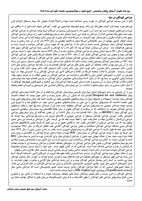## **جراحي کودکان در دنيا**

قبل از قرن بیستم جراحی کودکان در مغرب زمین شناخته شده نبوده و اصولاً کودک بعنوان یک بیمار مستقل ازاواخر قرن نوزدهم مورد توجه قرار گرفت بطوریکه ژان ژاک روسو فیلسوف فرانسوی می گفت –ٰ کودکان متولد شده قبل از ۸ سالگی می میرند و این قانون طبیعت است چرا باید آن را تغییر داد. با شروع قرن بیستم در امریکا و اروپا توجه جراحان به جراحی کودکان جلب شده بطوریکه تعدادی اندک از جراحان به طرف این رشته متمایل شده و بتدریج فعالیت خود را به درمان جراحی کودکان سوق داده و افراد دیگری را هم بدنبال خود کشیدند. در امریکا ابتدا دکتر هربرت کو سپس دکتر ویلیام لاد به این سمت کشیده شدند. انفجار کشتی مهمات در بندر هالیفاکس امریکا منجر به فاجعه عظیمی در سال ۱۹۱۷ شد که در آن عده زیادی از مردم مخصوصاً کودکان دچار سوختگی شدید شدند و دکتر لاد از جراحانی بود که جهت درمان کودکان سوخته و آسیب دیده به بوستون فراخوانده شد . درمان این بیماران جرقه ای بود که دکتر لاد را به کودکان و تأسیس رشته جراحی کودکان سوق دهد بطوریکه از سال ۱۹۲۰ به بعد ایشان بیشتر به جراحی کودکان متمایل شده و از سال ۱۹۲۷ به بعد تمام وقت خود را صرف جراحی کودکان نمود و بعنوان پدر جراحی کودکان ملقب شد. از دهه ۱۹۳۰ به بعد در نقاط مختلف امریکا بخش های جراحی کودکان افتتاح و جراحان بیشتری خود را وقف اعتلای جراحی کودکان نمودند. اولین بخش جراحی کودکان با پروتکل آموزشی در اوایل دهه ۱۹۴۰ در بیمارستان کودکان بوستون تحت ریاست دکتر لاد تشکیل شد و دکتر رابرت گراس اولین دستیار رسمی این رشته شد. از آن پس بتدریج در ایالات مختلف آن کشور بخش های جراحی کودکان افتتاح شد و در دهه بعد جراحان زیادی مثل دکتر گراس، دکتر سونسون، دکتر هندرن، دکتر کوپ، دکتر بیل، دکتر وایت، دکتر استیفن گانز، دکتر بویلز، دکتر کلات ورثی به شهرت رسیدند . همزمان با ایالات متحده امریکا در کانادا و امریکای لاتین نیز جراحی کودکان رو به گسترش نهاد. در اروپا همزمان در آلمان و کشورهای آلمانی زبان و انگلستان و فرانسه نیز جراحی کودکان در همین اوقات پا به عرضه وجود نهاد. فرانسه اولین کشوری در دنیا بود که در سال ۱۸۰۲ بیمارستانی مخصوص درمان کودکان در پاریس افتتاح نمود بنام بیمارستان انفانت مالاد و کودکان بیمار در آن بستری و تحت درمان طبی و بعضاً جراحی قرار می گرفتند و طبق قانون هیچ بچه کوچکتر از ۷ سال اجازه بستری در سایر بیمارستانها را نداشت. در این بیمارستان پزشکان نامداری مثل کرمیسون و اُمبردان انجام وظیفه نمودند.

پس از آن جنبشی در سایر شهرهای اصلی اروپا برای تأسیس بیمارستان کودکان براه افتاد و در سال ۱۸۵۲ بیمارستان کودکان بیمار (Hospital for sick children) افتتاح شد که بانیان آن دکتر چارلز وست و دکتر جونز بودند که اعتقاد داشتند کودکان بیمار نیازمند تسهیلات و توجهات ویژه در بیمارستانهای مخصوص بخود می باشند، البته نظر بانیان بیماریهای طبی بوده چون عقیده داشتند که بیماریهای جراحی را می توان در بیمارستانهای عمومی درمان نمود. در سالهای بعد و با شروع قرن بیستم توجه جراحان عمومی به بیماریهای جراحی کودکان معطوف شده عده ای از جراحان بتدریج خود را وقف درمانهای جراحی کودکان نمودند. در اسکاتلند که در مراقبت از کودکان جلوتر از سایر نقاط انگلستان بود بیمارستان سلطنتی ادینبورو برای کودکان بیمار (REHSC) در سال ۱۸۶۰ افتتاح شد و در سال ۱۸۸۷ در آن بخش جداگانه ای برای بیماریهای جراحی اختصاص یافت. آموزش جراحی کودکان مستقل از جراحی عمومی از گلاسکو شروع شد و بتدریج جراحانی پیدا شدند که جراحی بزرگسال را بکناری نهاده و تمام وقت خود را فقط صرف بچه ها می کردند. یکی از جراحان برجسته این نسل جمیز نیکول بود که پدر جراحی سرپائی در انگلستان ملقب شد. با نگاهی دقیق تر در می پابیم که گرچه اولین باشگاههای جراحی کودکان یعنی باشگاه جراحی کودکان اسکاتلند و بخش جراحی کودکان آکادمی طب اطفال امریکا در سال ۱۹۴۸ موجودیت یافتند ولی دهه ها طول کشید تا جراحی کودکان به پیشرفتهای امروزی دست یافت. در لندن دنیس براون از سال ۱۹۲۴ تمام عمر حرفه ای خود را صرف جراحی کودکان در بیمارستان HSC نموده و تعداد زیادی جراح کودکان در انگلستان و برای سایر نقاط دنیا تربیت نمود. بعد از جنگ جهانی دوم خیلی از جراحان ازماورای بحار برای گذراندن دوره به لندن به بیمارستان HSC آمده و آموزش دیدند. در آلمان نیز جراحی کودکان سرگذشت دور و درازی دارد و در این کشور نیز از اواسط قرن نوزده میلادی بتدریج بیمارستانهای کودکان و بخش های جراحی کودکان در شهرهای مختلف افتتاح و جراحان برجسته ای پا بعرصه نهادند که نامشان در طب و جراحی ماندگار شده است. جراحانی که در آلمان ظهور کرده ، عمر خود را صرف درمان بیماران مخصوصاً جراحی کودکان نمودند عبارتند از دکتر کنراد رامشتد، ماکس ویلمز، فریتز رهباین، فریتز مایسنر، هکر، فلاخ و دکتر ریکهام.

پس از جنگ جهانی دوم جراحی کودکان در سراسر دنیا گسترش یافته بطوریکه امروزه در امریکای لاتین، استرالیا، افریقا، آسیا این رشته جراحی بطور مستقل در شهرهای مختلف این قاره ها فعال بوده و هزاران جراح کودک در آنها در حال مداوای کودکان بیمار می باشند. در آسیا، ژاپن پیشتاز جراحی کودکان بوده و در این رشته جراحانی مثل کازایی و میانو در جهان نامدارند. در سایر کشورهای آسیایی مثل چین، مالزی، اندونزی، هندوستان، پاکستان و ایران نیز جراحی کودکان در حال گسترش می باشد. از جمله کشورهای آسیایی که در آنجا جراحان کودکان زیادی تربیت شدند کشور هندوستان است که جراحان بنامی مثل آپادهایایا (Upadhyaya) و پروفسور گوپتا (DK Gupta) را بدنیا عرضه داشته است.

جراحان کودکان در قرن بیست و یکم پابیای پزشکان رشته های مختلف پیشرفت نموده و با استفاده از دانش روز و فناوری مدرن انواع بیماریهای جراحی های کودکان را بطور کلاسیک و یا با روش اندوسکوپیک و روش های با حداقل تهاجم مداوا می نمايند.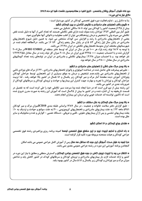#### دبیر فانه شورای آموزش پزشکی وتفصصی –تاریغ تنفیذ در هفتادوسومین نشست شورا تیر ماه ۱۳۸۹ دلايل نياز به اين دوره :

بنا به دلایل زیر ، تداوم فعالیت دوره فوق تخصصی کودکان در کشور موردنیاز است :

#### \* شيوع بالاي ناهنماري هاي مادرزادي و نقايص تكاملي در بين كودكان كشور

بیش از ۳۵٪ازجمعیت کشور را کودکان بین تولد تا ۱۸ سالگی تشکیل می دهند.

طبق آمار بین المللی ۲تا۳٪ نوزادان زنده متولد شده دارای نقص تکاملی هستند که تعداد کمی از آنها به دلیل شدت نقص تکاملے مے میرند ولی با تشخیص و درمان زودھنگام مے توان از اغلب معلولیت و ناتوانی آنها جلوگیری نمود.

بعضی از ناهنجاریهای مادرزادی با رشد و افزایش سن کودک مشخص می شود. به همین دلیل شیوع ناهنجاریهای مادرزادی در پایان سال اول زندگی ۳تا ۰٫۵و در پایان سال پنجم زندگی ۴تا ۰٫۶ می باشد. در۹مطالعه انجام شده در شهرستانهای مختلف ایران متوسط ناهنجاریهای تکاملی در ایران ۳/۴۸٪ می باشد.

با توجه به ۱۸/۷ تولد زنده بازاء هر ۱۰۰۰ نفر در سال در ایران که توسط دفتر منطقه ای WHO EMROدر سال۲۰۰۶ گزارش شده و با احتساب جمعیت ۷۳۶۵ ۰۰۰۰ نفری ایران در سال ۲۰۰۸ میزان کل تولد زنده در سال معادل ۱/۳۷۷/۲۵۵ نفر خواهد بود و با احتساب میزان ۳/۴۸٪ بیماریهای تکاملی و مادرزادی در ایران در تولدهای زنده تعداد آنومالیهای مادرزادی در سال معادل ۴۸۰۰۰ در سال خواهد بود.

#### \* بالا بودن مرگ های ناشی از ناهنماری های مادرزادی در کشور

– علیرغم پیشرفت های حاصل شده در شناخت اتیولوژی و پاتوژنز ناهنجاریهای مادرزادی ، ۳۲٪از مرگ های نوزادی ناشی از ناهنجاریهای مادرزادی می باشد.عدم تشخیص و درمان به موقع بسیاری از این ناهنجاری توسط جراحان کودکان ونوزادان آموزش دیده مطمئنا آمار مرگ و میر کودکان زیر یکسال و ۱تا ۵سال در کشور بالا خواهد رفت . لذا تربیت جراحان کودکان و نوزادان با تجربه و مهارت جهت کنترل این بیماریها و حوادث و ترومای کودکان و سرطانهای کودکان از ضروریات جدی در کشور می باشد.

این رشته بیش از نیم قرن است که در دنیا ایجاد شده وبا سرعت سیر تکاملی خود را طی کرده است که به تفصیل در قسمت تاریخچه به آن اشاره شده و در کشور ما بیش از ۲۵سال است که آموزش این رشته به صورت مدرن شروع شده است که تاکنون توانسته اند خدمات خوبی برای درمان این بیماران انجام دهند.

#### $\ast$  بالا بودن مرگ های کودکان به علل مـفتلف در کشور

- طبق گزارش دفتر سلامت خانواده و جمعیت ، در سال ۱۳۸۷ براساس طبقه بندی ICD10میزان مرگ و میر کودکان ۱تا۵۹ ماهه ۲۳٪ به علت بیماریهای مادرزادی و ناهنجاریهای کروموزومی ، ۲۰٪به علت سوانح و حوادث و نزدیک به ۱۰٪ بعلت بیماریهای تنفسی و پس از آن بیماریهای عفونی ، قلبی و عروقی ، دستگاه عصبی – گوارش و غدد و متابولیک و سایر علل بوده است.

#### \* فقدان مرام کودکان در ۱۷ استان کشور

\* **(اه اندازی و تداوم تربیت نیرو در این مقطع فوق تفصصی توسط** کمیته برنامه ریزی وراهبردی رشته فوق ت*خصص*ی جراحی کودکان و هیات ممتحنه مربوطه مورد تائید قرار گرفته است.

\*ب**ا تومِه به طول مدت آموزش این دوره که مداقل سه سال** پس از آموزش کامل جراحی عمومی می باشد امکان گنجاندن برنامه آموزشي اين دوره در رشته جراحي عمومي مقدور نمي باشد.

\* **انتظار می رود با ت<u>ربی</u>ت نیروی کافی در دوره فوق تفصصی مِرامی کودکان** و گسترش منطقی و مطابق با نیاز این دوره در کشور و ارائه خدمات لازم، بار بیماریهای مادرزادی و ترومای کودکان و سرطانهای کودک در کشور کاهش یابد و شاخص میزان مرگ و میر نوزادان و کودکان زیر یکسال و ۱تا ۵ سال در کشور بهبود پابد.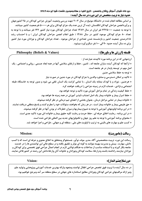## دبیر فانه شورای آموزش پزشکی وتفصصی –تاریخ تنفیذ در هفتادوسومین نشست شورا تیر ماه ۱۳۸۹ **حدود نیاز به تربیت متخصص در این دوره در ده سال آینده :**

بر اساس مطالعه انجام شده در دانشگاه مونیخ در سال ۲۰۰۳ جهت بررسی وضعیت آموزش جراحی کودکان در ۲۵ کشورجهان و برآوردانجمن جراحان کودکان انگلستان ،ایده آل ترین عدد،یک جراح کودکان برای هر ۵۰۰۰۰۰ نفرجمعیت کشور میباشد. با توجه به جمعیت ۷۳۶۵۰۰۰۰ نفر ایران در سال ۱۳۸۷ تعداد جراحان کودکان مورد نیاز کشور ۱۴۷ نفر میباشد و با توجه به تعداد ۸۰ جراح کودکان موجود کشور در سال ۱۳۸۸ ( طبق اعلام انجمن جراحان کودکان ایران ) و با احتساب رشد ۱/۵درصدی جمعیت کشور و بازنشسته شدن تعدادی از جراحان موجود ، تعداد جراحان کودکان و نوزادان مورد نیاز کشور برای ده سال آینده حدود ۹۰ الی ۱۰۰ نفر دیگربر آورد میشود .

## فلسفه (ارزش ها و باورها) :

ارزشهایی که در این برنامه مورد تاکیدند عبارتند از : \* ازآنجا که کودکان آینده سازان جامعه اند ، تامین ، حفظ و ارتقای سلامتی آنها در همه ابعاد جسمی ، روانی و اجتماعی ، یک اصل مهم در توسعه پایدار در هر جامعه است. \* توجه به حفظ سلامتي جنين \* تاکید بر امکان دسترسی و مشاوره والدین با جراح کودکان در مورد جنین در صورت نیاز \* هرجنین ، نوزاد و یا کودک بمثابه یک انسان ، با تمامی کرامت یک انسان تلقی می شود و بدون توجه به خاستگاه طبقه اجتماعی و نژادی ، خدمات لازم در زمینه جراحی را دریافت خواهند کرد. \* حفظ کیفیت زندگی در تمام مراحل آموزش مورد تاکید و توجه خواهد بود. \* حفظ اسرار بیمار و خانواده بیمار یک اصل اجتناب ناپذیر آموزش در همه زمینه ها خواهد بود. \* خانواده بیمار در تمامی مراحل درمان ، بعنوان بخشی از اعضای تیم درمانی در نظر گرفته میشوند. \* حق طبیعی بیمار و خانواده بیمار است ، در هر زمان که بخواهند سئوالات خود را مطرح کنند و پاسخ منطقی دریافت نمایند. \* در این برنامه اولویتهای آموزشی با توجه به شیوع بیماریها و میزان خطرناک تر بودن آنها در نظر گرفته میشوند. \* در این برنامه ، رعایت اخلاق حرفه ای ، حفظ حرمت و رعایت کلیه حقوق بیمار و خانواده اش مورد تاکید جدی است. \* محتواي برنامه آموزشي با توجه به علم روز جهان و تكنولوژيهاي جديد بين المللي طراحي شده است. \* کسب علم و مهارت های بالینی به تر تیب با اولویت های ملی ، منطقه ای و جهانی ، طراحی و اجرا خواهد شد.

## رسالت (ماموريت):

**Mission:** 

رسالت این دوره، تربیت متخصصینی آگاه ،مدیر، مولد، نوآور، جستجوگر ومتخلق به اخلاق معنوی و حرفه ای است که با کسب دانش، مهارت ، بینش و مدیریت بهینه بتوانند به گونه ای مؤثر و تلفیق یافته و در سطح عالی این توانمندی ها را در خدمت جامعه بکار گیرند و با استفاده مناسب از مداخلات به هنگام،توانایی لازم در انجام اعمال جراحی فوق تخصصی برای کودکان و نوزادان نیازمند راداشته باشند ودرار تقاء سلامت کودکان ونوزادان و خانواده آنان وارتقاءدانش این رشته در کشور تلاش نمایند.

## دورنما(چشم انداز):

در ده سال آینده با تربیت فوق تخصص جراحی اطفال توانمند ومتعهد وارائه بهترین خدمات آموزشی وپژوهشی وتولید علم ونیز ارائه مراقبتهای جراحی کودکان ونوزادان مطابق استاندارد های جهانی در سطح منطقه سر آمد ومرجع خواهیم بود.

٩

Vision:

**Philosophy (Beliefs & Values)**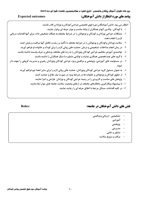## **Expected outcomes**

## پیامد های مورد انتظاراز دانش آموختگان:

| انتظار می رود، دانش آموختگان دوره فوق تخصصی جراحی کودکان و نوزادان، قادر باشند:                              |
|--------------------------------------------------------------------------------------------------------------|
| ۱- با کودکان ، والدین آنها و همکاران ارتباط مناسب و موثر حرفه ای برقرار نمایند.                              |
| ۲- آمشکلات جراحی نوزادان و کودکان و نوجوانان را در شرایط مختلف،به هنگام تشخیص داده ،برای آنها اقدامات درمانی |
| لازم را انجام دهند.                                                                                          |
| ۳-   سلامت نوزادان وکودکان و نوجوانان را در شرایط مختلف با تأکید بر رشد و تکامل آنها مراقبت و پایش کنند.     |
| ۴- در زمان انجام مداخلات تشخیصی و درمان ،حمایت های روانی لازم را برای کودک و خانواده او فراهم آورند.         |
| ۵-۔ توانمندی آموزش مفاهیم جراحی کودکان ونوزادان را به رده های مختلف پزشکی و حرف وابسته داشته باشند.          |
| ۶- با گروه های چندتخصصی همکاری نمایند و توانایی مشاوره با دیگر همکاران را داشته باشند.                       |
| ۷- در مسئولیت های آموزشی، پژوهشی و مراقبتی ویژه جراحی کودکان ونوزادان رهبری و مدیریت گروهی را عهده دار       |
| شوند.                                                                                                        |
| ۸-۔ به عنوان مسئول گروه جراحی کودکان ونوزادان، حمایت های روانی لازم را برای سایر اعضا تیم فراهم آورند.       |
| ۹- از حقوق کودکان و نوجوانان و خانواده ها در شرایط ویژه در صورت نیاز دفاع و حمایت کنند.                      |
| ۱۰- پژوهش های مناسب و کاربردی را در زمینه جراحی کودکان و نوزادان طراحی و اجرا نمایند.                        |
| ۱۱- با پیشنهاد وبکارگیری راهکارهای مختلف در ارتقای وضعیت سلامت جامعه نقش موثر ایفا نمایند.                   |
| ۱۲- در کلیه اقدامات، مسائل مرتبط با اخلاق حرفه ای را رعایت نمایند.                                           |
|                                                                                                              |

## نقش های دانش آموختگان در جامعه:

## **Roles:**

#### - تشخیصی –درمانی ومراقبتی

- آموزشی
- پژوهشی
- مدیریتی
- مشاور و حامی
- **مراقب و مروج سلامت**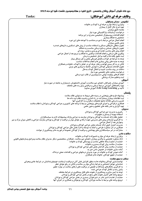## وظایف حرفه ای دانش آموختگان:

|  | l`asks: |  |
|--|---------|--|
|  |         |  |

| تشفيصى –درمانى ومراقبتى                                                                                                                                     |       |
|-------------------------------------------------------------------------------------------------------------------------------------------------------------|-------|
| برقراری ارتباط مؤثر و حرفه ای با کودک و خانواده                                                                                                             |       |
| تهیه شرح حال کامل از بیماران                                                                                                                                |       |
| معاينه دقيق بيماران                                                                                                                                         |       |
| درخواست آزمایشات پاراکلینیکی مورد نیاز                                                                                                                      |       |
| انجام اقدامات پروسیجرال تشخیصی مندرج در این برنامه                                                                                                          |       |
| تشخیص به هنگام بیماری                                                                                                                                       |       |
| انجام اعمال جراحی مرتبط با دوره و متناسب با آموخته های این دوره<br>پایش بالینی بیماران                                                                      |       |
| تجویز منطقی داروهای مسکن و استفاده مناسب از روش های تسکینی و داروهای ضددرد                                                                                  |       |
| تجویز داروهای حساس و مایع درمانی مناسب و به هنگام                                                                                                           |       |
| انجام روش های مناسب تغذیه ای وریدی و معدی-روده ای                                                                                                           |       |
| پیگیری های درمانی و انجام اقدامات مراقبتی به هنگام و سریع بعد از اعمال جراحی                                                                                |       |
| ثبت دقیق یافته ها درکلیه مراحل تشخیص و درمان                                                                                                                |       |
| توجه به شرایط هر کودک و فضای فیزیکی بخش و حل مسائل بیمار                                                                                                    |       |
| توجه به جنبه های روانی بیماری ها و انجام مداخلات مناسب                                                                                                      |       |
| تلاش در به کار بستن قواعد و رفتار حرفه ای در تعامل با کودک، خانواده و همکاران                                                                               |       |
| تجویز اقدامات باز توانی کودکان با عوارض حاصله یا بیماری های مزمن                                                                                            |       |
| دخالت در روند مناسب تثبیت و انتقال کودک بدحال                                                                                                               |       |
| درخواست مشاوره های تخصصی مورد نیاز<br>انجام کارهای پیچیده مولتی دیسیپلینری در قالب تیم درمانی                                                               |       |
| ثبت وتنظيم مدارك پزشكي                                                                                                                                      |       |
| آموزشى                                                                                                                                                      |       |
| اموزش بیماران ،همراهان ،اعضای تیم سلامت و آموزش دانشجویان ،دستیاران و جامعه در صورت نیاز                                                                    |       |
| تهیه راهنماهای آموزشی مرتبط درمانی و مراقبتی برای رده های مختلف                                                                                             |       |
| تاكيد بر Life Long Learning (آموزش مداوم)                                                                                                                   |       |
|                                                                                                                                                             |       |
| پیشنهاد طرح های پژوهشی در زمینه های مربوط به مسئولین نظام سلامت                                                                                             | يزوهش |
| ثبت اطلاعات بیماران ومشارکت در راه اندازی وتثبیت نظام ثبت داده ها                                                                                           |       |
| تفسیر و ارزیابی نقادانه نتایج تحقیقات دیگران و به کارگیری آنها                                                                                              |       |
| همکاری درطراحی و اجرای طرح های پژوهشی مرتبط با برنامه های کشوری و جراحی کودکان و نوزادان با نظام سلامت                                                      |       |
| تهیه گزارش و نشر یافته های تحقیق و متون علمی                                                                                                                |       |
| مديريتى                                                                                                                                                     |       |
| رهبری و مدیریت تیم جراحی کودکان و نوزادان                                                                                                                   |       |
| استفاده بهینه از وسایل و تجهیزات                                                                                                                            |       |
| تحلیل نظام ارائه خدمات به کودکان و نوزادان نیازمند به جراحی وارائه پیشنهادات لازم به سیاستگزاران                                                            |       |
| به کارگیری ابزارها و روش های مدیریتی جهت ارتقا ی عوامل موثر بر مراقبت از کودکان و نوزادان نیازمند جراحی و کاهش میزان مرگ و میر<br>وعوارض بعد از اعمال جراحی |       |
| مدیریت کنترل کیفی ارائه خدمات بخش جراحی کودکان و نوزادان                                                                                                    |       |
| همکاری در امر مشاوره، طراحی و کمک به توسعه و اداره بخش های جراحی کودکان و نوزادان                                                                           |       |
| مشارکت در امر سیاستگذاری های بهداشتی و مراقبت از کودکان خصوصاً در فوریت ها و پیشگیری از حوادث                                                               |       |
| مشاور و مامی                                                                                                                                                |       |
| برقراری ارتباط حرفه ای مؤثر و دلسوزانه با کودک و خانواده                                                                                                    |       |
| ارائه مشاوره تخصصی به والدین بیماران ،اعضای تیم سلامت ، همکاران ،متخصصین دیگر ،مدیران نظام سلامت ومراجع وسازمانهای قانونی                                   |       |
|                                                                                                                                                             |       |
| حمایت از تداوم ارتباط عاطفی مناسب و پیوستگی کودک و خانواده                                                                                                  |       |
| حمایت از سلامت روان کودک بستری و خانواده                                                                                                                    | -     |
| حمایت از سلامت روان کارکنان بخش های جراحی کودکان و نوزادان                                                                                                  |       |
| آماده سازی خانواده در خصوص دادن خبر بد                                                                                                                      | ۳     |
| اماده نمودن کودک و خانواده در مورد پذیرش درمانهای جراحی و اقدامات عملی دردناک                                                                               |       |
| حمایت از حقوق کودکان، خانواده ها و همکاران                                                                                                                  |       |
| مراقب و مروج سلامت                                                                                                                                          |       |
| توانمندسازی کودکان وخانواده ها به منظور افزایش نقش آنان درمراقبت ازسلامت خودوفرزندانشان در شرایط عادی وبحرانی                                               |       |
| شناسایی عوامل اجتماعی و شرایط زندگی مؤثر بر سلامت و تلاش در رفع عوامل خطر                                                                                   |       |
| به کارگیری راهکارهای چندگانه و تلفیقی در مراقبت های ارتقای سلامت در موارد خطیر                                                                              | ۳     |
| پایش رشد و تکامل کودک جراحی شده<br>توجه به ایمن سازی و پیشگیری از عفونت های قابل پیشگیری در شرایط مختلف                                                     | ۳     |

- -
-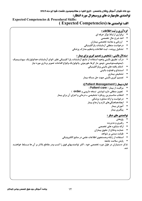## توانمندی هاومهارت های پروسیجرال مورد انتظار:

## **Expected Competencies & Procedural Skills:** (Expected Competencies): الف: توانمندي ها

## گردآوری و ثبت اطلاعات :

- برقراري ارتباط مؤثر حرفه اي
	- |خذ شرح حال تخصصی
- ارزیابی و معاینه تخصصی بیماران
- درخواست منطقي آزمايشات پاراكلينيكي
- تشكيل پرونده ، ثبت اطلاعات وتنظيم مدارك پزشكي

## **استدلال بالینی ، تشخیص و تصمیم گیری برای بیمار :**

- درک، تطبیق بالینی ونحوه استفاده از نتایج آزمایشات پارا کلینیکی نظیر :انواع آزمایشات هماتولوژیک ،بیوشــیمیک ،ایمنوهیستوشیمی ،تومور مار کرها ،هورمونی ،پاتولوژیک وانواع اقدامات تصویر برداری مورد نیاز
	- ادغام يافته هاي باليني وياراكلينيكي
		- استنتاج و قضاوت باليني
			- تشخيص بيماري
	- تصمیم گیری بالینی جهت حل مساله بیمار

## اداره بیمار ( Patient Management ):

- مراقبت از بیمار ( Patient care )
- تجویز منطقی دارو (نوشتن نسخه دارویی و order )
- انتخاب مناسبترین رویکرد تشخیصی ـ درمانی و اجرای آن برای بیمار
	- درخواست و ارائه مشاوره یزشکی
	- ایجادهماهنگیهای لازم و ارجاع بیمار
		- آموزش بيمار
		- پیگیری بیمار

## توانمندي هاي ديگر :

يژوهش

- رهبری و مدیریت
- ارائه مشاوره های تخصصی
- حمايت ودفاع از حقوق بيماران
	- طبابت مبتنی بر شواهد
- استفاده از رایانه وجستجوی اطلاعات علمی در منابع الکترونیکی Е
	- يايش سلامت جامعه

تذکر :دستیاران در طول دوره تخصصی خود ، اکثر توانمندیهای فوق را کسب ودر مقاطع بالاتر بر آن ها مــسلط خواهنــد شد.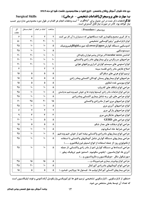## ب: مهارت های پروسیجرال(اقدامات تشخیصی - درمانی) :

#### **Surgical Skills**

**تذکر :**دفعات ذکر شده در این جدول برای "یـادگیری " است ودفعات انجام هر اقدام در طول دوره محدودیتی ندارد وبر حسب<br>نیاز خواهد بود. کادر در صورت نیاز قابل گسترش است .

| کل         | انجام مستقل   | کمک در انجام  | مشاهده | پروسيجر ( Procedure )                                                   |
|------------|---------------|---------------|--------|-------------------------------------------------------------------------|
| دفعات<br>۶ | ۲             | ۲             | ٢      | به کار گیری صحیح ونگهداری کلیه دستگاههایی که دستیاران با آن کار می کنند |
| ۵۰         | ٢٠            | ۲۰            | ١٠     | انواع لاپاراسکوپی ٌ وتوراکوسکپی تشخیصی                                  |
| 25         | ١٠            | ١٠            | ۵      | اندوسکپی دستگاه گوارشUpperوLowerبه صورتRigidوفیبروپتیک                  |
| 25         | ١٠            | ١٠            | ۵      | سيستوسكپى                                                               |
| 40         | ٢٠            | ١٠            | ١٠     | گذاشتن Vascular acessدر نوزادان وشیرخواران وکودکان                      |
| ۴۰         | ٢٠            | ١٠            | ١٠     | جراحیهای سر وگردن برای بیماریهای مادر زادی واکتسابی                     |
| ۴۰         | ٢٠            | ١٠            | ١٠     | انواع استومی های سیستم گوارش ادراری وراههای هوایی                       |
| ۴          |               | ۲             | ۲      | اصلاح نقايص مادر زادى قفسه سينه                                         |
| ۱۵         | ۵             | ۵             | ۵      | ترمیم انواع هرنی های دیافراگم                                           |
| ۱۵         | ۵             | ۵             | ۵      | جراحیهای انواع بیماریهای پستان کودکان اکتسابی ومادر زادی                |
| ۱۵         | ۵             | ۵             | ۵      | انواع بيوپسى غدد لنفاوى                                                 |
| 25         | ١٠            | ١٠            | ۵      | جراحی انواع شکاف های کام ولب                                            |
| 25         | ١٠            | ١٠            | ۵      | جراحی انواع ضایعات مادر زادی کیستها وتوده ها ی خوش خیم وبدخیم مدیاستن   |
| 25         | ١٠            | ١٠            | ۵      | انواع جراحی های نای ،ریه شامل بیماری اکتسابی ومادرزادی                  |
| ۶٠         | 25            | ۲۰            | ۱۵     | انواع جراحیهای مری اعم از مادرزادی واکتسابی                             |
| 25         | ۱۰            | ۱۰            | ۵      | انواع جراحیهای آترزی مری                                                |
| ۶          | ٢             | ۲             | ۲      | انواع جراحیهای پارگی مری                                                |
| ٩          | ٣             | ٣             | ٣      | انواع جراحیهای جایگزینی مری                                             |
| ٢٠         | ١٠            | ۵             | ۵      | انواع جراحی های GERD                                                    |
| ۱۵         | ۵             | ۵             | ۵      | جراحی انواع دیفکت های جدار شکم                                          |
| 25         | ١٠            | ۱۰            | ۵      | جراحي شرايط حاد اسكروتوم                                                |
| ۲۵         | ١٠.           | ١٠            | ۵      | جراحی انواع بیماریهای مادرزادی واکتسابی بیضه اعم از خوش خیم وبدخیم      |
| 25         | $\mathcal{L}$ | $\mathcal{L}$ | ۵      | جراحی بیماریهای دستگاه گوارش شامل آنومالیهای واکتسابی با استفاده        |
|            |               |               |        | از تکنولوژی روز (از جمله استفاده از انواع استپلر،لیزرلیگاشورو)          |
| ٢۵         | $\mathcal{L}$ | $\mathcal{L}$ | ۵      | جراحی انسدادها ی دستگاه گوارش اعم از مادر زادی واکتسابی (از جمله        |
|            |               |               |        | آترزي ها، انواژيناسيون- ايلئوس مكونيوم –استنوز هيپر تروفيک پيلور –      |
|            |               |               |        | ديور تيکول مکل –دوپليکاسيون و مالروتاسيون و)                            |
| ۳۵         | ۱۵            | ۱۵            | ۵      | جراحی انواع پولترودر بیماری هیرشپرونگ و                                 |
| ٣۵         | ٢٠            | $\mathcal{N}$ | ۵      | جراحي انواع آنوماليهاي مادرزادي آنوركتال                                |
| 15         | ۵             | ۵             | ۵      | جراحي بيماريهاي اكتسابي آنوركتال(پوليپ ها- فيستول ها–پرولاپس-فيشرو)     |

\*منظور از لاپارسکوپی ، لاپارسکوپی تشخیصی ترمیم فتق ها ،اورکیوپکسی،واریکوسل،آپاندکتومی و فوند اپلیکاسیون است كه تعداد آن توسط بخش مشخص می شود.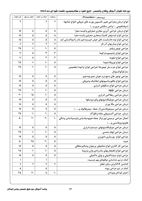| كل دفعات      | انجام مستقل   | کمک در انجام  | مشاهده | پروسيجر ( Procedure )                                              |
|---------------|---------------|---------------|--------|--------------------------------------------------------------------|
| ۴             |               | ۲             | ٢      | انواع درمان وجراحي هيپر تانسيون پورت هاي عروقي (انواع شانتها-      |
|               |               |               |        | اسپلنکتومی - ترانس سکشن مری و….)                                   |
| ۱۵            | ۵             | ۵             | ۵      | انواع درمان جراحي آترزي مجاري صفراوي وكيسه صفرا                    |
| ۱۵            | ۵             | ۵             | ۵      | جراحي انواع كيستهاى كلدوك ومجارى صفراوي وكيسه صفرا                 |
| ۱۵            | ۵             | ۵             | ۵      | جراحی انواع توده ها وکیست های خوش خیم وبدخیم مادر زادیواکتسابی کبد |
| ۶             | ۲             | ٢             | ۲      | جراحی انواع بیماریهای آدر نال                                      |
| ۲۵            | ١٠            | ١٠            | ۵      | جراحى تومور ويلمز                                                  |
| $\mathcal{U}$ | ۵             | ٣             | ٣      | جراحي انواع رابدوميوساركوما                                        |
| ١١            | ۵             | ٣             | ٣      | جراحي انواع لنفوما                                                 |
| ۲۵            | ١٠            | ١٠            | ۵      | جراحي انواع نوروبلاستوما                                           |
| ۲۵            | ۱۰            | ١٠            | ۵      | جراحی انواع جرم سل تومورها (جراحی انواع تراتوما )بخصوص             |
|               |               |               |        | ساركوكوكسيژال                                                      |
| ۱۵            | ۵             | ۵             | ۵      | جراحي تومور هاي نسج نرم خوش خيم وبدخيم                             |
| ۱۵            | ۵             | ۵             | ۵      | جراحي انواع مالفورماسيونهاي لنفاتيك وعروقي                         |
| ۱۵            | ۵             | ۵             | ۵      | درمان جراحی انواع سنگهای ادراری                                    |
| ۲۵            | ١٠            | ١٠            | ۵      | درمان جراحی upjc                                                   |
| ٣.            | ۱۵            | ١٠            | ۵      | درمان جراحی ریفلاکس ادراری                                         |
| ۱۵            | ۵             | ۵             | ۵      | درمان جراحى دوپليكاسيونهاى واور تروسلها                            |
| ۱۵            | ۵             | ۵             | ۵      | درمان جراحی مگا یورتر                                              |
| ۱۵            | ۵             | ۵             | ۵      | درمان جراحى سييتوپلاستى(از جمله ميتروفانوف و)                      |
| 25            | ₩             | ۱۰            | ۵      | درمان جراحي اكستروفي مثانه وكلوآك                                  |
| ۵۰            | ٢٠            | ۲۰            | ١٠     | اعمال جراحى ترميمى(يورترااز جمله هيپوسيادياس واپيسپادياس وتنگى     |
|               |               |               |        | هاويوتروپلاستي و)                                                  |
| ۱۵            | ۵             | ۵             | ۵      | درمان جراحی دوپلیکاسیونهای سیستم ادراری                            |
| ٢۵            | $\mathcal{L}$ | ١٠            | ۵      | درمان جراحي ابهام جنسي                                             |
| ۱۵            | ۵             | ۵             | ۵      | جراحي انواع پوريناري دايورژن                                       |
| ۵۰            | ۲۵            | ٢٠            | ۵      | ختنه                                                               |
| ۱۵            | ۵             | ۵             | ۵      | جراحي كار گذاري انواع شانتهاي پريتوان ودياليزصفاقي                 |
| ٢۵            | $\mathcal{L}$ | $\mathcal{L}$ | ۵      | جراحي انواع ناهنجاريهاي مادرزادي واژن وتروما                       |
| ۱۵            | ۵             | ۵             | ۵      | جراحی انواع سینداکتیلی و پولی داکتیلی                              |
| ١             |               | ١             |        | کمک در تیم جداسازی دوقلوهای بهم چسبیده                             |
| ۶             | ۲             | ٢             | ٢      | گذاشتن AVFبرای دیالیز اطفال                                        |
| ۵             |               | ۵             |        | کمک در تیم جراحی پیوند                                             |
| ٣۵            | ٢٠            | ۵             | ١٠     | احياي كودكان ونوزادان                                              |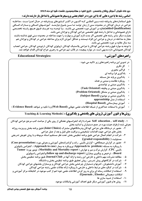#### **اسامی رشته ها یا دوره هایی که با این دوره در انجام بعضی پروسیجرها همپوشانی یا تداخل باز دارنده دارند :**

طبق استانداردهای پذیرفته شده بـین المللــی کــه اکنــون در اکثــر کــشورهای پیــشرفته در حــال اجــرا ســت ، مداخلــه جراحی در درمان کودکان در محدوده سنی از زمان تولــد تــا ســن بلــوغ نیازمنــد آموزشــهای اضــافی و مــدارک اضــافی (added Qualification)علاوه بر آموزش دوره تخصصی می باشــد . بــا توجــه بــه تعریــف فــوق هــیچ رشــته تخصــصی دارای همپوشانی و تداخل با رشته فوق تخصصی جراحی کودکان و نوزادان نمی باشد.

بعبارت دیگر سایر رشته های تخصصی اگر مدت لازم آموزش و مهارت را جهت مداخله در محدوده سنی فوق نداشته باشند مجاز به مداخله در درمان و جراحی این افراد نیستند و حداقل آموزش لازم برای مداخله جراحی در کودکان و نوزادان هم سه سال علاوه بر دوره تخصصی می باشد.

با توجه به موارد فوق،رشته جراحی کودکان با جراحی پلاستیک کودکان ،ارولوژی کودکان ،ارتوپدی کودکان ،جراحی اعصاب کودکان همپوشانی دارد.بدیهی است ،در موارد پیچیده ،در قالب تیم جراحی به رهبری جراح کودکان اقدام خواهد شد.

## راهبردهای آموزشی :

در تدوین این برنامه راهبردهای زیر تاکید می شود :

- کل نگری
- فراگير محوري
- یادگیری فرا برنامه ای
- یادگیری برپایه حل مسئله
- رویکرد نظامند و مبتنی بر هدف
	- یادگیری مبتنی بر توانمندی
- یادگیری مبتنی بر وظیفه (Task Oriented)
- یادگیری مبتنی بر مشکل (Problem Oriented)
	- یادگیری مبتنی بر موضوع (Subject Based)
		- apprentiship استفاده از مدل
		- آموزش بیمارستانی (Hospital Based)
- آموزش با استفاده حداكثري از شبكه اطلاعات علمي جهاني (Web Based) و با تكيه بر شواهد (Evidence Based )

## **روشها و فنون آموزش (روش های یاددهی و یادگیری) : :Teaching & Learning Methods**

۱- Self education , self study همراه با ارائه کنفرانسهای هفتگی از روی یکی از مباحث کتب مرجع جراحی کودکان معرفی شده ازطرف هیئت بورد در جمع دستیاران و اساتید بخش ۲- حضور در درمانگاه های جراحی کودکان ودرمانگاههای مشترک (Joint Clinics) طبق برنامه بخش و ویزیت روزانه بخش های جراحی جهت اقدامات تشخیصی و مراقبت های قبل و بعد از عمل جراحی ۳- شرکت در انجام اعمال جراحی طبق برنامه تنظیمی بخش تحت نظر مستقیم استاد مربوطه و با روش تفویض تدریجی (graded responsibility) مسئوليت ۴- حضور در گزارش صبحگاهی-گزارش بالینی ، راند و گراندراندهای آموزشی و معرفی مورد (Case presentiation) با رویکرد به مسئله (Approach to problem) ورویکرد به بیمار (Approach to case) ، کنفرانس پاتولوژی بالینی CPC، گزارش مرگ و میر و عوارض ( Morbidity and Mortality report)، تومور بورد( Tumor Board) ، ترخیص و پیگیری بیماران( follow up and discharge report)وکنفرانس رادیولوژی ۵- ٪ مطالعه نشریات مهم داخلی و خارجی این رشته و ارائه آنها در Journal Club طبق برنامه تنظیمی بخش ۶- شرکت در کارگاههای روش تدریس ، روش تحقیق طبق برنامه تنظیمی بخش و دانشگاه ۷- آموزش دانشجویان ، انترنها و دستیاران چرخشی بخش جراحی کودکان و پرستاران بخشهای جراحی کودکان ۸- شرکت در کنگره های مرتبط داخلی و خارجی با رویکرد ارائه مقالات علمی رشته جراحی کودکان ۹- ۱استفاده از امکانات رسانه ای برای به روز کردن اطلاعات علمی خود اعم از کتب موجود در کتابخانه مرکز آموزشی و امكانات ديجيتالي (Ejournals , Ebooks) ١٠- استفاده از شبيه سازي ها ١١- روش ها و فنون آموزشي ديگر طبق اهداف آموزشي وامكانات موجود

**Educational Strategies:**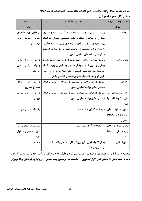## دبیر فانه شورای آموزش پزشکی وتفصصی –تاریغ تنفیذ در هفتادوسومین نشست شورا تیر ماه ۱۳۸۹ ساختار کلی دوره آموزشی:

| مدت زمان              | محتوى ـ اقدامات                                          | بخش ، واحد یا عرصه     |
|-----------------------|----------------------------------------------------------|------------------------|
| $($ ماه )             |                                                          | آموزش                  |
| در طول دوره هفته ای   | ویزیت بیماران سرپایی ـ انتخاب ، تشکیل پرونده و بستری     | درمانگاه               |
| حداقل دوروز براي      | بیماران ــ پیگیری مشاوره های تخصصی بیماران ــ انجام      |                        |
| هر دستیار             | پروسیجرهای سرپایی ــ آموزش رده های پایین تر ــ پاسخگویی  |                        |
|                       | به مشاوره های تخصصی درخواست شده زیر نظر استادو اقدامات   |                        |
|                       | دیگر طبق برنامه های تنظیمی بخش                           |                        |
| در طول دوره هر روز به | ویزیت بیماران بستری شده ــ مراقبت از بیماران ــ تثبیت    | بخش بسترى              |
| جزایام بخش های        | بیماران بستری شده در بخش معمولی ومراقبتهای ویژه ـ انجام  |                        |
| چرخشي                 | پروسیجرهای تشخیصی درمانی بر بالین بیمار ــ آموزش رده های |                        |
|                       | پایین تر و اقدامات دیگر طبق برنامه های تنظیمی بخش        |                        |
| در طول دوره حداقل     | شرکت در عمل های جراحی بصورت مشاهده ، کمک یا انجام        | اتاق عمل               |
| هفته ای سه روز        | مستقل ، طبق برنامه تنظیمی بخش .                          |                        |
| در طول دوره به صورت   | شرکت در انجام پروسیجرها بصورت مشاهده ، کمک یا انجام      | اتاق پروسیجرهای سر     |
| موردی                 | مستقل ، طبق برنامه تنظیمی بخش                            | ا يا<br>پائی (درمانگاه |
|                       |                                                          | اورژانس                |
| یک ماه در سال اول     | در صفحه ۲۱ آورده شده است                                 | بخش مراقبت های         |
|                       |                                                          | ویژه کودکان PICU       |
|                       |                                                          | جنرال                  |
| یک ماه در سال اول به  | بخش آمراقبت های   در صفحه ۲۱ آورده شده است               |                        |
| صورت مداوم ودر طول    |                                                          | ويژه نوزادان NICU      |
| دوره                  |                                                          | جنرال                  |
| سه ماه                | بخش لاپاراسكوپی ⊣رولوژی كودكان –جراحی پلاستیک،           | بخش انتخابي            |
|                       | ترميمي وسوختگي                                           |                        |

توضیح:دستیاران ،در طول دوره خود ،بر حسب نیازشان وعلاقه ،با هماهنگی با رئیس بخش ،به مدت ۳ ماه به یک یا چند بخش از بخش های لاپاراسکوپی – پلاستیک ،ترمیمی وسوختگی –اورولوژی کودکان ورادیولوژی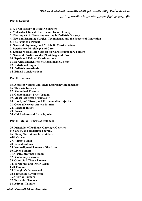عناوين دروس اعم از عمومي ،تخصصي يايه يا تخصصي باليني :

#### Part I: General

- 1. A Brief History of Pediatric Surgery
- 2. Molecular Clinical Genetics and Gene Therapy
- 3. The Impact of Tissue Engineering in Pediatric Surgery
- 4. New and Emerging Surgical Technologies and the Process of Innovation
- 5. The Fetus as a Patient
- 6. Neonatal Physiology and Metabolic Considerations
- 7. Respiratory Physiology and Care
- 8. Extracorporeal Life Support for Cardiopulmonary Failure
- 9. Neonatal Cardiovascular Physiology and Care
- 10. Sepsis and Related Considerations
- 11. Surgical Implications of Hematologic Disease
- **12. Nutritional Support**
- 13. Pediatric Anesthesia
- **14. Ethical Considerations**

#### Part II: Trauma

- 15. Accident Victims and Their Emergency Management
- **16. Thoracic Injuries**
- 17. Abdominal Trauma
- **18. Genitourinary Tract Trauma**
- 19. Musculoskeletal Trauma 337
- 20. Hand, Soft Tissue, and Envenomation Injuries
- 21. Central Nervous System Injuries
- 22. Vascular Injury
- 23. Burns
- 24. Child Abuse and Birth Injuries

**Part III:Major Tumors of childhood** 

25. Principles of Pediatric Oncology, Genetics

- of Cancer, and Radiation Therapy
- 26. Biopsy Techniques for Children
- with Cancer
- 27. Wilms' Tumor
- 28. Neuroblastoma
- 29. Nonmalignant Tumors of the Liver
- **30. Liver Tumors**
- **31. Gastrointestinal Tumors**
- 32. Rhabdomvosarcoma
- **33. Other Soft Tissue Tumors**
- 34. Teratomas and Other Germ
- **Cell Tumors**
- 35. Hodgkin's Disease and
- Non-Hodgkin's Lymphoma
- **36. Ovarian Tumors**
- **37. Testicular Tumors**
- **38. Adrenal Tumors**

برنامه آموزشى دوره فوق تفصصى مرامى كودكان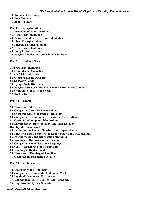- 39. Tumors of the Lung
- **40. Bone Tumors**
- **41. Brain Tumors**

**Part IV: Transplantation** 

- **42. Principles of Transplantation**
- **43. Renal Transplantation**
- 44. Pancreas and Islet Cell Transplantation
- **45. Liver Transplantation**
- **46. Intestinal Transplantation**
- **47. Heart Transplantation**
- **48. Lung Transplantation**
- 49. Surgical Implications Associated with Bone

Part V: Head and Neck

**MarrowTransplantation** 

- **50. Craniofacial Anomalies**
- 51. Cleft Lip and Palate
- 52. Otolaryngologic Disorders
- **53. Salivary Glands**
- 54. Lymph Node Disorders
- 55. Surgical Diseases of the Thyroid and Parathyroid Glands
- 56. Cysts and Sinuses of the Neck
- 57. Torticollis

Part VI: Thorax

- 58. Disorders of the Breast
- 59. Congenital Chest Wall Deformities
- The Nuss Procedure for Pectus Excavatum
- 60. Congenital Diaphragmatic Hernia and Eventration
- 61. Cysts of the Lungs and Mediastinum
- 62. Laryngoscopy, Bronchoscopy, and Thoracoscopy
- **Bradley M. Rodgers and**
- 63. Lesions of the Larynx, Trachea, and Upper Airway
- 64. Infections and Diseases of the Lungs, Pleura, and Mediastinum
- 65. Esophagoscopy and Diagnostic Techniques
- 66. Esophageal Rupture and Perforation
- 67. Congenital Anomalies of the Esophagus ....
- **68. Caustic Strictures of the Esophagus**
- 69. Esophageal Replacement
- 70. Disorders of Esophageal Function
- 71. Gastroesophageal Reflux Disease
- Part VII: Abdomen
- 72. Disorders of the Umbilicus
- 73. Congenital Defects of the Abdominal Wall...
- 74. Inguinal Hernias and Hydroceles
- 75. Undescended Testis, Torsion, and Varicocele.
- 76. Hypertrophic Pyloric Stenosis
- برنامه آموزشى دوره فوق تفصصى مرامى كودكان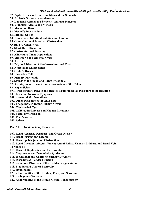- 77. Peptic Ulcer and Other Conditions of the Stomach
- 78. Bariatric Surgery in Adolescents
- 79. Duodenal Atresia and Stenosis Annular Pancreas
- 80. leiunoileal Atresia and Stenosis
- 81. Meconium Ileus
- 82. Meckel's Diverticulum
- 83. Intussusception
- 84. Disorders of Intestinal Rotation and Fixation
- 85. Other Causes of Intestinal Obstruction
- Cynthia A. Gingalewski
- 86. Short-Bowel Syndrome
- 87. Gastrointestinal Bleeding
- **88. Alimentary Tract Duplications**
- 89. Mesenteric and Omental Cysts
- 90. Ascites
- 91. Polypoid Diseases of the Gastrointestinal Tract
- 92. Necrotizing Enterocolitis
- 93. Crohn's Disease
- **94. Ulcerative Colitis**
- 95. Primary Peritonitis
- 96. Stomas of the Small and Large Intestine ...
- 97. Atresia, Stenosis, and Other Obstructions of the Colon
- 98. Appendicitis
- 99. Hirschsprung's Disease and Related Neuromuscular Disorders of the Intestine
- 100. Intestinal Neuronal Dysplasia
- 101. Anorectal Malformations
- 102. Other Disorders of the Anus and
- 103. The jaundiced Infant: Biliary Atresia
- 104. Choledochal Cyst
- 105. Gallbladder Disease and Hepatic Infections
- 106. Portal Hypertension
- 107. The Pancreas
- 108. Spleen

**Part VIII: Genitourinary Disorders** 

- 109. Renal Agenesis, Dysplasia, and Cystic Disease
- 110. Renal Fusions and Ectopia
- 111. Ureteropelvic junction Obstruction
- 112. Renal Infection, Abscess, Vesicoureteral Reflux, Urinary Lithiasis, and Renal Vein **Thrombosis**
- 113. Ureteral Duplication and Ureteroceles
- 114. Megaureter and Prune-Belly Syndrome.
- 115. Incontinent and Continent Urinary Diversion
- 116. Disorders of Bladder Function
- 117. Structural Disorders of the Bladder, Augmentation
- 118. Bladder and Cloacal Exstrophy
- 119. Hypospadias
- 120. Abnormalities of the Urethra, Penis, and Scrotum
- 121. Ambiguous Genitalia
- 122. Abnormalities of the Female Genital Tract Surgery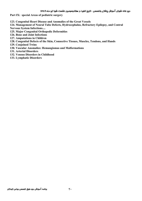Part IX: special Areas of pediatric surgery

- 123. Congenital Heart Disease and Anomalies of the Great Vessels
- 124. Management of Neural Tube Defects, Hydrocephalus, Refractory Epilepsy, and Central
- **Nervous System Infections....**
- 125. Major Congenital Orthopedic Deformities
- 126. Bone and Joint Infections
- 127. Amputations in Children
- 128. Congenital Defects of the Skin, Connective Tissues, Muscles, Tendons, and Hands
- **129. Conjoined Twins**
- 130. Vascular Anomalies: Hemangiomas and Malformations
- **131. Arterial Disorders**
- 132. Venous Disorders in Childhood
- 133. Lymphatic Disorders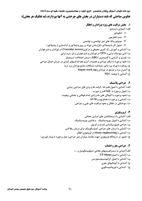## دبیر فانه شورای آموزش پزشکی وتفصصی –تاریغ تنفیذ در هفتادوسومین نشست شورا تیر ماه ۱۳۸۹ عناوین مباحثی که باید دستیاران در بخش های چرخشی به آنها بیردازند (به تفکیک هر بخش):

## ۱. یخش مراقبت های ویژه نوزادان و اطفال الف) آشنايي با وسايل : ۱) انکوباتور ۲) یمپ انفوزیون ۳)۔ مونیتورینگ های غیر تهاجمی و تهاجمی ۴) اصول کار با ونتیلاتور (قراردادن نوزاد بر روی ونتیلاتور و آزادسازی از ونتیلاتور) ب) آشنایی و آموزش رگ گیری محیطی و مرکزی(Vascular access) در نوزادان و شیرخواران پ) آنتی بیوتیک تراپی و TPN در نوزادان و شیرخواران و نیز سرم تراپی ت) تفسیر و آشنایی با گازومتری (ABG) درمان اختلالات اسیدوباز ث) نحوه برخورد با ایکتر نوزادی و تغییرات آنزیم هاو اندکسهای کبدی در جریان اعمال جراحی ج) رویکرد با نوزاد پره ماتور (شناخت مشکلات شایع نوزادان پره ترم) چ) کنترل درد و تشنج در نوزادان وSepsis work up ح) آشنایی با مبحث NEC

## 2. حراجي بلاستيك الف) آشنایی با اصول فلپ ها ، گرفت ها و برش های جراحی زیبایی ب) اصول برخورد با Cleftسر و صورت پ) نحوه برخورد با آنومالی های مادرزادی اندام فوقانی و تحتانی پیچیده ت) آشنایی و برخورد با همانژیوم و AVM ث) سوختگی در اطفال و نحوه مراقبت های طبی و جراحی

## 3. ارورولوژي

الف) آشنایی با دیسفانکشن های ادراری تحتانی ب) آشنایی با اصول پورودینامیک و ماشین پورودینامیک پ) جراحی هیپوسپادیاس شدید و کریپل ت) آشنایی با درمان های جراحی آندوسکوپیک برای درمان رفلاکس ث) آشنایی با tissue engineering در اورولوژی اطفال ج) حضور در درمانگاه اورولوژی جهت معاینه بیماران غیر جراحی( مثل برخورد با بیمار انورزی)

## 4. حراجي مغز و اعصاب

الف) آشنایی با دیسرافیسمهای نخاعی (میلومننگوسل و …) ب) آشنایی با اصولVP Shunt پ) آشنایی با اصول کرانپوسینوستوزیس ج) آشنایی با آنومالیهای مغزی چ) آشنایی با نورواندوسکویی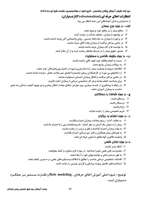#### انتظارات اخلاق حرفه ای (Professionalism)ازدستیاران:

از دستیاران و دانش آموختگان این رشته انتظار می رود:

#### الف– در موزه نوع دوستی

- ۱) \_ منافع بیمار را بر منافع خود ترجیح دهند.
- ۲) در مواجهه با بیماران مختلف عدالت را رعایت کنند.
- ۳) در برخورد با بیماران به تمام ابعاد جسمی، روانی واجتماعی آنان توجه داشته باشند.
	- ۴) در تمامی مراحل مراقبت از بیماران وقت کافی صرف نمایند.
		- ۵) به خواسته ها و آلام بیماران توجه داشته باشند.
	- ۶) منشور حقوق بیمار را در شرایط مختلف رعایت کرده و از آن دفاع کنند.

#### ب- در موزه وظیفه شناسی و مسئولیت

- ۱) نسبت به انجام وظائف خود تعهد كافي داشته باشند.
	- ٢) به سوالات بیماران یاسخ دهند.
- ۳) اطلاعات مربوط به وضعیت بیمار را با مناسبترین شیوه در اختیار وی وهمراهان قرار دهند.
- ۴) از دخالتهای بی مورد در کارهمکاران پرهیز نمایندو با اعضای تیم سلامت تعامل سازنده داشته باشند.
	- ۵) در تمامی مراحل مراقبت و انتقال بیماران احساس مسئولیت نمایند.
	- ۶) برای مصاحبه، انجام معاینه و هر کار تشخیصی درمانی از بیماران اجازه بگیرند.
- ۷) در رابطه با پیشگیری از تشدید بیماری، بروز عوارض، ابتلای مجدد، انتقال بیماری و نیز بهبود کیفیت زندگی بـه طـور مناسب به بیماران آموزش دهند.

#### ج- در موزه شرافت و درستکاری

- ۱) راستگو باشند..
- ۲) درستکار باشند.
	- ۳) رازدارباشند.
- ۴) حریم خصوصی بیمار را رعایت نمایند .

#### د- در موزه امترام به دیگران

- ۱) به عقاید، آداب ، رسوم وعادات بیماران احترام بگذارند.
- ۲) بیمار را به عنوان یک انسان در نظر گرفته ، نام ومشخصات وی را با احترام یادکنند.
	- ۳) به وقت بیماران احترام گذاشته و نظم و ترتیب را رعایت نمایند.
		- ۴) به همراهان بیمار،همکاران و کادر تیم درمانی احترام بگذارند.
			- ۵) وضعیت ظاهری آنها مطابق با شئون حرفه ای باشد.

#### ه–در موزه تعالى شغلى

- ۱) انتقاد ىذىر باشند.
- ۲) محدودیت های علمی خودرا شناخته ، در موارد لازم مشاوره و کمک بخواهند.
	- ۳) به طور مستمر،دانش و توانمندیهای خود را ارتقاءدهند.
- ۴) اقدامات تشخیصی درمانی مناسب را مطابق با امکانات ودستاوردهای علمی در دسترس انجام دهند.
	- ۵) استانداردهای تکمیل پرونده پزشکی و گزارش نویسی را رعایت کنند.

توضيح : شيوه اصلي آموزش اخلاق حرفهاي ، Role modeling و نظـارت مــستمر بـر عملكـرد دستياران است .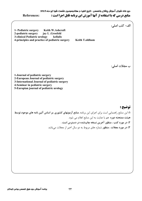دبیر فانه شورای آموزش پزشکی وتفصصی –تاریغ تنفیذ در هفتادوسومین نشست شورا تیر ماه ۱۳۸۹ منابع درسي كه با استفاده از آنها آموزش اين برنامه قابل اجرا است : **References:** الف- كتب اصلي: 1- Pediatric surgery Keith W.Ashcraft 2-pediatric surgery jay L.Grosfeld **3-clinical Pediatric urology** kellalis 4-principles and practice of pediatric surgery **Keith T.oldham** ب مجلات اصلے: 1-Journal of pediatric surgery 2-European Journal of pediatric surgery 3-International Journal of pediatric surgery 4-Seminar in pediatric surgery 5-Europian journal of pediatric urology توضيح : ١) این منابع راهنمایی است برای اجرای این برنامه. منابع آزمونهای کشوری ،بر اساس آئین نامه های موجود،توسط هيئت ممتحنه دوره هم با عنايت به اين منابع اعلام مي شود. ۲) در مورد کتب ، منظور آخرین نسخه چاپشده در دسترس است . ۳) **در مورد مجلات ، منظور** شماره های مربوط به دو سال اخیر از مجلات م*ی* باشد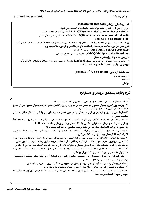## ارزيابي دستيار:

\*یایانی

#### **Student Assessment:**

الف: روشهای ارزیابی Assessment methods -برای ارزیابی از روشهای معتبر ویایا نظیر روشهای زیر استفاده می شود. -\*Mini –CEX(mini clinical examination exercise): تمرين كوچك معاينه باليني \*DOPS(Direct observation of procedural skil): مشاهده مستقيم مهارت هاي عملي cbd(case -base Discussion)\* ارزیابی مستمر دستیار در خصوص یادداشت های نوشته شده در پرونده بیماران ، نحوه تشخیص ، درمان، تصمیم گیری، شرح عمل جراحی، خلاصه پرونده ها ، یادداشت های درمانگاهی و بازخورد مناسب به وی % MSF(Multi Source Feedback) ارزيابي ٣۶٠ درجه بهت ارزیابی دانش نظری پزشکیACQ(Multiple chaice Question)\* \*ارزیابی مقاله و کار پژوهشی دستیار «ارزیابی پرونده دستیاری (پورت فولیو)شامل Log book،نتایج ارزیابیهای انجام شده ،مقالات ،گواهی ها ونظایر آن \*روشهای دیگر بر حسب امکانات و اهداف آموزشی ب: دفعات ارزیابی periods of Assesssment \*ارزیابی دوره ای \*سالانه

## شرح وظایف پیشنهادی گروه برای دستیاران:

۱- اداره بیماران بستری در بخش های جراحی کودکان زیر (نظر اساتید مربوطه ۲- ویزیت وپی گیری بیماران بستری در بخش حداقل دو بار در روز و تکمیل دقیق پرونده بیماران (صبح قبل از شروع فعالیت های درمانی و عصر قبل از ترک بیمارستان) ۳-سازماندهی بستری و ترخیص بیماران در بخش و همچنین انجام مشاوره های بین بخشی زیر نظر اساتید مسئول مشاوره همان روز ۴-حضور فعال در خدمات درمانگاهی زیر نظر اساتید مربوطه جهت سازماندهی بیماران جدید و پیگیری Follow up بیماران عمل شده و درمان شده قبلی و تکمیل یادداشت های پیگیری بیماران Follow up note ۵-حضور در برنامه های اطاق عمل جراحی طبق برنامه تنظیمی زیر نظر اساتید مربوطه ۶–پوشش شبانه روزی بیماران اورژانس جراحی کودکان نیازمند ارجاع شده به بیمارستان و بخش های بیمارستان زیر نظر اساتید آنکال همان روز طبق برنامه تنظیمی گروه. ۷-مشارکت فعال در جلسات آموزش معرفی بیمار ، کنفرانسهای بررسی مرگ و میر،گراند راند،ژورنال کلاب ، تومور بورد، کنفرانس رادیولوژی ، معرفی موارد جالب ، گزارش صبحگاهی و ارائه مطالب مربوطه طبق برنامه تنظیمی از سوی بخش ۸-شرکت روزانه در جلسات مشاوره و آموزش بیماران و خانواده های آنان و اخذ رضایت آگاهانه عمل جراحی از والدین ۹-ارتباط مستقیم ، همکاری و تعامل با سرپرستار، پرستاران، اساتید بخش های جراحی کودکان و سایر بخشها و دستیاران تخصصی و فوق تخصصی و دانشجویان پزشکی. ۱۰-مشارکت فعال درآموزش دستیاران فوق تخصصی سالهای پائین تر و دستیاران چرخشی سایر بخشها ، دانشجویان پزشکی و پرستاری و پرستاران شاغل در بخش 11-انجام پژوهش به صورت مداوم در طول دوره در بخش جهت بررسی عملکرد درون بخشی و بازخورد آن ۱۲-مشاوره و همکاری در اموراجرائی ارجاع شده از سوی روسای بخشها و مدیریت گروه ۱۳- شرکت در کشیک های مقیم بیمارستان ،طبق برنامه تنظیمی بخش،تعداد کشیک ها برای سال اول ۱۰ ،سال دوم ۸وسال سوم ۶ کشیک در ماه است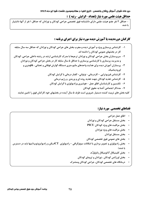حداقل هيئت علمي مورد نياز (تعداد -گرايش -رتبه ) :

– حداقل ۳ نفر عضو هیئت علمی دارای دانشنامه فوق تخصصی جراحی کودکان و نوزادان که حداقل ۱ نفر از آنها دانشیار با شند

## **کارکنان دورهدیده یا آموزش دیده مورد نیاز پرای احرای پرنامه :**

- ۱– کارشناس پرستاری ویژه و آموزش دیده و مجرب بخش های جراحی کودکان و نوزادان که حداقل سه سال سابقه کار در بخشهای عمومی کودکان را داشته اند.
- ۲- سرپرستاران بخش جراحی کودکان و نوزادان ترجیحا با مدرک کارشناسی ارشد در رشته داخلی جراحی، کودکان و مدیریت پرستاری یا کارشناسی پرستاری با حداقل ۵ سال سابقه کار در بخش جراحی کودکان و نوزادان
	- ۳- پرستاران آموزش دیده برای هدایت واحدهای مانیو متری دستگاه گوارش فوقانی و تحتانی ، phمتری و اورودینامیک
		- ۴- کارشناس فیزیوتراپی کاردرمانی- نوتوانی- گفتار درمانی با گرایش کودکان
			- ۵- کارشناس تغذیه کودکان جهت تغذیه روده ای و وریدی و رژیم درمانی
			- ۶– تکنسین و کارشناسان اطاق عمل هوشبری ورادپولوژی با گرایش کودکان
				- ۷- مددکار اجتماعی آشنا به حقوق کودکان

کلیه بخش های تربیت کننده دستیار ،ضروری است ظرف ۵ سال آینده در بخشهای خود کارکنان فوق را تامین نمایند

## فضاهای تخصصی مورد نیاز:

- اطاق عمل جراحي
- بخش مستقل جراحی کودکان و نوزادان
- بخش مراقبت های ویژه کودکان PICU
	- بخش مراقبت های ویژه نوزادان
		- بخش مستقل نوزادان
- بخش های عمومی فوق تخصصی کودکان
- بخش رادیولوژی و تصویر برداری با امکانات سونوگرافی رادیولوژی CTاسکن و رادیوایزوتوپ(اینها باید در دسترس  $\blacksquare$ ىا شند)
	- بخش كلينيكال آناتوميكال ياتولوژى
	- بخش اورژانس کودکان ، نوزادان و ترومای کودکان
	- درمانگاه های تخصصی کودکان، جراحی کودکان ومشترک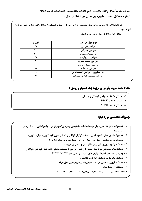**تنوع و حداقل تعداد بیماریهای اصلی مورد نیاز در سال :** 

در دانشگاهی که مجری برنامه فوق تخصصی جراحی کودکان است ، بایستی به تعداد کافی جراحی های موردنیاز انجام شود .

حداقل این تعداد در سال به شرح زیر است :

| تعداد | نوع عمل جراحي               |
|-------|-----------------------------|
| 30    | جراحي نوزادان               |
| ۱۰۰   | جراحي اورژانس               |
| 300   | جراحي رايج روزانه           |
| 30    | جراحى سروگردن               |
| 30    | جراحي قفسه صدري             |
| ۱۰۰   | جراحي دستگاه گوارش          |
| ۱٠    | جراحي سرطانها               |
| ۶٠    | آندوسکوپی و جراحی آندوسکوپی |
| ۶۰    | جراحی سیستم ادراری تناسلی   |

## **تعداد تخت مورد نیاز برای تربیت یک دستیار ورودی :**

- ۱- حداقل ۲۰ تخت جراحی کودکان و نوزادان
	- ٢- حداقل ۶ تخت PICU
	- ٣- حداقل٨ تخت NICU

### تجهيزات تخصصي مورد نياز:

| ۱ – تجهیزات Imaginsمورد نیاز جهت اقدامات تشخیصی و درمانی(سونوگرافی –رادیوگرافی –C.T –رادیو  |
|---------------------------------------------------------------------------------------------|
| ايزوتوپ)                                                                                    |
| ۲ – تجهیزات اطاق عمل ( اندوسکوپی دستگاه گوارش فوقانی و تحتانی – برونکوسکوپی- لاپاراسکوپی-   |
| سیستویور تروسکوپی- ست های اعمال جراحی- میکروسکوب عمل جراحی )                                |
| ۳ - دستگاه رادیولوژی پورتابل برای اطاق عمل و بخشهای مربوطه                                  |
| ۴ – دستگاههای بیهوشی مورد نیاز جهت اطاق عمل جراحی با سیستم مانیتورینگ کامل کودکان و نوزادان |
| ۵ - ونتیلاتورها- انکوباتورها و وارمر های مورد نیاز بخش های NICUو PICU                       |
| دستگاه مانومتری، دستگاه گوارش و phمتری $\mathbf{p}$                                         |
| ۷ - دستگاه فروزن سکشن جهت تشخیص بافتی سریع حین عمل جراحی                                    |
| ۸– دستگاه اورودینامیک                                                                       |
| کتابخانه –امکان دسترسی به منابع علمی اعم از کتب و مجلات و اینترنت                           |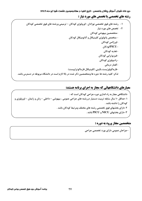**رشته های تخصصی یا تخصص های مورد نیاز :** 

## **معیارهای دانشگاههائی که مجاز به اجرای برنامه هستند:**

## **متخصصین مجاز ورود به دوره :**

-جراحان عمومی دارای بورد تخصصی جراحی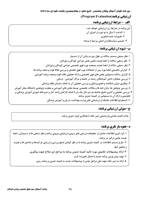ارزشیابی برنامه(Program Evaluation):

الف - شرايط ارزشيابي برنامه:

این برنامه در شرایط زیر ارزشیابی خواهد شد : ۱-گذشت ۶ سال یا دو دوره از اجرای آن ٢-تغييرات عمده فناوري ۳-تصمیم سیاستگزاران اصلی مرتبط با برنامه

ب-شیوه ارزشیایی برنامه:

۱-نظر سنجی مستمر سالانه در طول دوره و پایان آن از دستیار ۲- نظر سنجی سالانه از اعضا هیئت علمی بخش جراحی کودکان و نوزادان ۳-نظر سنجی سالانه از اعضا هیئت ممتحنه بورد فوق تخصصی جراحی کودکان و نوزادان ۴- گزارش تحصیلی اعضا بورد پس از امتحانات بورد فوق تخصص و بررسی نقاط قوت و ضعف برنامه ها ۵-گزارش سالانه مسئولین بخش های فوق تخصصی و ارائه تحلیلی نکات قوت وضعف برنامه آموزشی ۶-بررسی عملکرد دانش آموختگان رشته در جامعه و مراکز آموزشی- درمانی ۷-پیگیری میزان شکایات و قصورپزشکی و بررسی تحلیلی آن به کمک سازمان نظام پزشکی ۸-بررسی یژوهش ها، پایان نامه ها و مقالات تخصصی توسط بخش های آموزشی و معاونت پژوهشی دانشگاه محل آموزش ۹-بررسی تحلیلی و آماری نتایج حاصله هر دو سال یک بار با کمک کارکنان واحد آمار و دبیرخانه شورای آموزش پزشکی و تخصصی و ارائه آن به مسئولین در کمیته تدوین برنامه ۱۰-استخراج اطلاعات حاصله از ارزشیابی های وزارت بهداشت، درمان و آموزش پزشکی

## ج-متولي ارزشيايي يرنامه:

واحد اعتبار بخشي وارزشيابي دبير خانه با همكاري گروه تدوين برنامه

## د-نحوه باز نگری برنامه:

۱-گرد آوری اطلاعات حاصل از: تحقیقات،ارزیابی های درونی،ارزشیابی بیرونی برنامه و نظر سنجی ها از دستیاران, اعضا هیئت علمی درگیر در برنامه. ۲- طرح مستمر اطلاعات در کمیته تدوین برنامه با در نظر گرفتن نتایج بررسی و ارزیابی فرآیندها و شاخص ها و تجزیه و تحليل آنها . ٣-ارائه پیشنهادات تکمیلی مورد تائید کمیته تدوین برنامه به مراجع ذی صلاح جهت پیگیری. ۴-تهيه پيش نويس برنامه جديد با اعمال تغييرات لازم. ۵-ارائه به دبیر خانه جهت طی مراحل بعدی با پیشنهادات جدید به کمیته تدوین و برنامه ریزی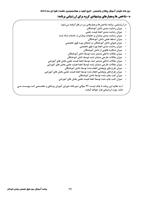## ه-شاخص ها ومعیارهای پیشنهادی گروه برای ارزشیابی برنامه: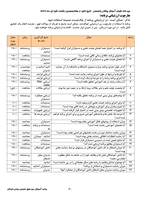## **چارچوب ارزشیابی برنامه:**

تذکر : ممکن است ، در ارزشیابی برنامه از چک لیست ضمیمه استفاده شود .

برنامه با استفاده از چارچوب زیر ارزشیابی خواهدشد .ممکن است پاسخ به هریک از سوالات فوق ، نیازمند انجام یک تحقیق کامل باشد . در این مورد ارزیابان ، پس از تدوین ابزار مناسب ، اقدام به ارزشیابی برنامه خواهند نمود .

| معيار                                 | روش       | منبع گردآوری     | سوال                                                                     | رديف                    |
|---------------------------------------|-----------|------------------|--------------------------------------------------------------------------|-------------------------|
| مورد                                  |           | داده ها          |                                                                          |                         |
| انتظار                                |           |                  |                                                                          |                         |
| $>\lambda \cdot \gamma$               | پرسشنامه  | دستياران -       | آیا برنامه، در اختیار همه اعضای هیئت علمی و دستیاران قرار گرفته است؟     | $\lambda$               |
|                                       |           | اساتيد           |                                                                          |                         |
| $> \lambda \cdot \overline{\lambda}$  | مشاهده    | مستندات          | <mark>آیا محتوای برنامه، اطلاع رسانی کافی شده است</mark> ؟               | ٢                       |
| $>\vee \cdot \vee$                    | پرسشنامه  | دستياران-        | <mark>آیا اعضای هیئت علمی و دستیاران از اجزای برنامه آگاهی دارند؟</mark> | $\overline{\mathbf{r}}$ |
|                                       |           | اساتيد           |                                                                          |                         |
| $>\vee \cdot \vee$                    | مصاحبه و  | تایید اساتید و   | آیا در طول اجرای برنامه، وزارت متبوع، دانشگاه و دانشکده از آن حمایت      | ۴                       |
|                                       | مشاهده    | مديران           | کرده است؟                                                                |                         |
| $>\lambda \cdot \overline{?}$         | پرسشنامه  | ارزیابی فرایند   | آیا باورها و ارزشها در طول اجرای برنامه رعایت شده است؟                   | ۵                       |
| $>\vee \cdot \vee$                    | پرسشنامه  | ارزيابي فرايند   | آیا اجرای برنامه رشته را به دورنما نزدیک کرده است؟                       | ۶                       |
| $>\vee \cdot \vee$                    | پر شسنامه | ارزیابی Out      | آیا رسالت رشته در بعد آموزشی تحقق یافته است؟                             | ٧                       |
|                                       |           | came             |                                                                          |                         |
| + (بلى)                               | مشاهده    | ارزيابي مقالات   | آیا وضعیت تولید علم و نشر مقالات روبه ارتقاء و در جهت دور نما بوده       | ۸                       |
|                                       |           |                  | است؟                                                                     |                         |
| $>\lambda \cdot \gamma$               | پرسشنامه  | ارزيابي عملكرد   | آیا پیامدهای پیش بینی شده در برنامه تحقق یافته اند؟                      | ٩                       |
|                                       |           | دستياران         |                                                                          |                         |
| $1 - 7$ .                             | مشاهده    | مستندات          | آیا برای اجرای برنامه، هیئت علمی لازم وجود دارد؟                         | ١٠                      |
| $\cdots$                              | مشاهده    | مستندات          | آیا تنوع بیماران برای آموزش و پژوهش در رشته کافی بوده است؟               | $\mathcal{V}$           |
| $\cdots$                              | مشاهده    | ارزيابي تجهيزات  | آیا تجهیزات تخصصی پیش بینی شده در اختیار قرار گرفته است؟                 | 12                      |
| $\cdots$                              | مشاهده    | ارزیابی عرصه ها  | آیا عرصه ها، بخش ها و واحدهای آموزشی ضروری برای اجرای برنامه فراهم       | $\mathcal{N}$           |
|                                       |           |                  | شده است؟                                                                 |                         |
| $>\vee \cdot$ %                       | مصاحبه    | دستياران         | میزان استفاده از روشهای فعال آموزشی چقدربوده است؟                        | ۱۴                      |
| $>\lambda \cdot \gamma$               | مشاهده    | مستندات و برنامه | آیا محتوای آموزشی رعایت شده است؟                                         | ۱۵                      |
|                                       |           | ها               |                                                                          |                         |
| $>\lambda \cdot \gamma$               | مصاحبه    | دستياران         | میزان رعایت ساختار دوره و رعایت بخشهای چرخشی چقدر بوده است؟              | ۱۶                      |
| $>\mathbf{Q} \cdot \mathbf{Q}$        | مصاحبه    | اساتيد -بيماران  | آیا رعایت انتظارات اخلاقی رضایت بخش بوده است؟                            | $\mathsf{Y}$            |
| $\cdots$                              | مشاهده    | مستندات          | آیا منابع تعیین شده در دسترس دستیاران قرار دارد؟                         | ١٨                      |
| $>\lambda \cdot \gamma$               | مشاهده    | مستندات          | آیا دستیاران مطابق برنامه ارزیابی شده اند؟                               | ۱۹                      |
| $>9.7$ .                              | پرسشنامه  | دانش آموختگان    | آیا میزان اشتغال به کار دانش آموختگان در پستهای مرتبط رضایت بخش          | ٢٠                      |
|                                       |           |                  | بوده است؟                                                                |                         |
| $>$ Y $\cdot$ /.                      | پرسشنامه  | مديران محل       | آیا دانش آموختگان نقش ها و وظایف خود را در جامعه به شکل مطلوب            | 21                      |
|                                       |           | اشتغال           | انجام می دهند؟                                                           |                         |
| $\leq \left\vert \cdot \right\rangle$ | مصاحبه    | اساتيد           | آیا موضوع تداخل وظایف با رشته های دیگر معضلاتی را در پی داشته است؟       | ٢٢                      |
| $>\vee \cdot$ %                       | پرسشنامه  | دستياران-اساتيد  | میزان رضایت دستیاران و استادان از برنامه؟                                | ٢٣                      |
| $>\lambda \cdot \lambda$              | پرسشنامه  | مديران           | میزان رضایت مدیران محل اشتغال دانش آموختگان از عملکرد آنها؟              | ٢۴                      |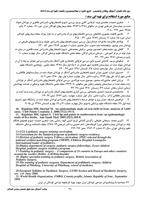منابع مورد استفاده برای تهیه این سند :

شجری حمیده، محمدی نوید، کربلایی آقایی مریم. بررسی شیوع ناهنجاریهای مادرزادی ظاهری در نوزادان متولد  $\mathcal{A}$ شده در بیمارستان شریعتی تهران در سالهای ۱۳۸۱ تا ۱۳۸۳. مجله بیماریهای کودکان ایران. دوره ۱۶ ، شماره ۳، پائیز ۱۳۸۵. صص ۳۱۲ - ۰۳۰۸.

خاتمی فاطمه، معموری غلامعلی. بررسی ناهنجاریهای بزرگ مادرزادی در ده هزار نوزاد. مجله بیماریهای کودکان  $\cdot$ ۲ ایران. دوره ۱۵، شماره ۴، زمستان ۱۳۸۴. صص ۳۲۰ - ۳۱۵.

پولادفر غلامرضا، ملاحزاده عبدالرسول. بررسی شیوع ناهنجاریهای مادرزادی خفیف و واریاسیونهای طبیعی در  $\mathbf{r}$ نوزادان بندر بوشهر. دوفصلنامه طب جنوب. سال هشتم، شماره ۱، شهریور ۱۳۸۴. صص ۵۲ - ۴۳.

گلعلی پور محمدجعفر، احمدپور موسی ، وکیلی محمدعلی. شیوع ناهنجاریهای مادرزادی عمده ظاهری در میان ده  $\cdot$ .۴ هزار تولد در مرکز آموزشی –درمانی دزیانی گرگان. مجله علمی دانشگاه علوم پزشکی گرگان. سال چهارم، شماره ۱۰، یاییز و زمستان ۱۳۸۱. صص ۴۷ - ۴۲.

شکوهی مریم ، کاشانی خسرو مانی. بررسی فراوانی ناهنجاری های آشکار مادرزادی و برخی عوامل مرتبط با آن در  $\Delta$ نوزادان متولد شده در بیمارستان فاطمیه شهر همدان در ۶ ماه اول سال ۱۳۷۸. مجله علمی – پژوهشی دانشگاه علوم پزشکی مازندران. سال دوازدهم، شماره ۳۵، تابستان ۱۳۸۱. صص ۴۷ - ۴۲.

۶. مخسروی شراره. تعیین میزان شیوع ناهنجاری مادرزادی آشکار در نوزادان متولد شده در بیمارستانهای طالقانی و قدس شهر اراک، طی بهار ۱۳۷۹. رهآورد دانش. سال چهارم، شماره اول، بهار ۱۳۸۰. صص ۹-۵.

۷. مرزبان اصغر، صادقزاده منصور، موسوی نسب نورالدین. بررسی فراوانی ناهنجاریهای مادرزادی آشکار در نوزادان زنده متولد شده در بیمارستان ولیعصر زنجان طی سالهای ۸۰-۱۳۷۹. مجله علمی دانشگاه علوم پزشکی و خدمات بهداشتی درمانی استان زنجان. شماره ۳۷، زمستان ۱۳۸۰. صص ۳۸-۳۳.

شاهمحمدی فرشته، احمدی محمدانور. بررسی آماری ناهنجاریهای آشکار مادرزادی در نوزادان زنده بدنیا آمده در  $\lambda$ . بيمارستان طالقاني اراك. رەآورد دانش. سال اول، شماره چهارم ، پاییز ۱۳۷۶. صص ۲۹-۲۳.

۹. دابراهیمی صدیقه. میزان بروز و عوامل مرتبط با ناهنجاریهای مادرزادی نوزادان متولد شده در زایشگاه شهر یاسوج، نیمه اول ۷۸. مجله دانشگاه علوم پزشکی پاسوج. سال چهارم، شماره ۱۳ و ۱۴، بهار و تابستان ۱۳۷۸. ص ۱۵-۹.

10. Rajabian MH, Sherkat M. An epidemiologic study of oral clefts in Iran: analysis of 1,669 cases. Cleft Palate Craniofac J. 2000:37(2):191-6.

11. Rajabian MH, Aghaei S. Cleft lip and palate in southwestern Iran: an epidemiologic study of live births. Ann Saudi Med.  $2005:25(5):385-8$ .

۱۲. اکبری محمد، سبحانی علیقلی، راگردی کاشانی ایرج، امینی الهه، رضایی زهرا، شجری حمیده. شیوع نقصهای هنگام تولد در نوزادان بیمارستانهای میرزا کوچکخان، امام خمینی و دکتر شریعتی۷۹–۱۳۷۸. مجله دانشکده پزشکی دانشگاه علوم پزشکی تهران. سال ۶۱، شماره ۳، ۱۳۸۲. صص ۲۱۶-۲۱۲.

13-UCLA pediatric surgery training curriculum.

14-Curriculum for the Stanford program of pediatric surgery residency. 15-Division of pediatric surgery Fellow, scurriculum (PSF) selected through the national resident matching program (NRMP). Children Hospital Losangeles. International leader of pediatrics.

16-Dbakey department of surgery, pediatric surgery fellowships, Texas children Hospital, pediatric surgery residency program.

17-Training in pediatric surgery  $-\tilde{A}$  comparison of 24 countris in Europe and other countries around the world.C.Driller. A.M.Holschneider

18- Higher specialist training in pediatric surgery. British Association of Pediatric Surgery.

19-The training of pediatric surgeon. Department of pedidiatric surgery, children Hospital of Pittsburg, University of Pititsburg, school of medicine.

20-European Syllabus in Paediatric Surgery, UEMS Section and Board of Paediatric Surgery, ver. 1.0- June 2008

21- World Health Organization, EMRO, Country profile, Islamic Republic of Iran, September 2009

۲۲-مصاحبه با پیشکسوتان جراحی کودکان ایران جهت تهیه تاریخچه جراحی کودکان در ایران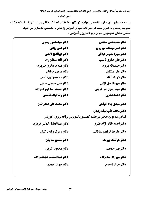## صورتجلسه

برنامه دستیاری دوره فوق تخصصی هراهی کودکان ، با تلاش امضا کنندگان زیر،در تاریخ ۱۳۸۸/۱۰/۹به تصویب رسید و به عنوان سند در دبیرخانه شورای آموزش پزشکی و تخصصی نگهداری می شود. اسامی اعضای کمیسیون تدوین و برنامه ریزی آموزشی :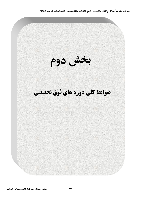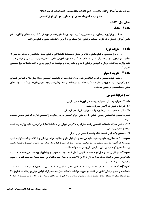## **مقررات و آییننامههای دورههای آموزش فوق تخصصی**

#### بخش اول : كليات

#### ماده ۱- هدف

هدف از برقراری دورههای فوق تخصصی پزشکی ، تربیت پزشک فوق تخصص مورد نیاز کشور ، به منظور ارتقای ســطح علمی آموزش پزشکی ، پژوهش و خدمات پزشکی و نیز دستیابی به آخرین یافتههای علمی پزشکی میباشد

## ماده 2- تعریف دوره

دوره فوق تخصصی پزشکیبالینی ، بالاترین مقطع تحصیلات دانشگاهی پزشکی است . متقاضیان واجدشرایط پــس از موفقیت در آزمون پذیرش دستیار ( کتبی و شفاهی ) و گذراندن دوره آموزش علمی و عملی مصوب ، در یکــی از مراکــز مــورد تائید وزارت بهداشت ، درمان و آموزش پزشکی با دفاع و تائید رساله و موفقیت در آزمون نهایی به اخذ دانشنامه فوق تخصصی نايل مے گردند .

## ماده 3- تعریف دستیار

دستیار فوق تخصصی به فردی اطلاق میشود که با داشتن مدرک دانشنامه تخصصی رشته پیش نیاز یا گــواهی قبــولی آن و پذیرش در آزمون ورودی ، با رعایت کلیه مفاد این آییننامه در مدت زمان مصوب به آموزشهای نظری ، کسب مهارتهای عملی و فعالیتهای پژوهشی بپردازد .

## الف ) شرایط عمومی

**ماده ۴**– شرایط پذیرش دستیار در رشتههای فوق *تخصصی* بالینی : ۴/۱- شرکت و قبولی در آزمون پذیرش دستیار ۴/۲- تائید صلاحیت عمومی طبق ضوابط شورای عالی انقلاب فرهنگی تبصره : اعضای هیاتعلمی رسمی ( قطعی یا آزمایشی ) برای تحصیل در دورههای فوق تخصصی نیاز به گزینش عمومی مجــدد ندار ند .

۴/۳- داشتن مدرک دانشنامه تخصصی رشته پیشiیاز و یا گواهی قبولی آن از دانشگاهها یا مراکز مورد تائید وزارت بهداشت ، درمان و اموزش پزشکی

۴/۴- داشتن برگ پایان خدمت نظام وظیفه یا معافی برای آقایان

**تبصره ۱**— کلمه معافی به مفهوم معافیت دایم میباشد و داوطلبان دارای معافیت موقت پزشکی و یا کفالت بـا مــسئولیت خــود می توانند در آزمون پذیرش دستیار شرکت نمایند . بدیهی است در صورت فراخوانده شدن بــه انجــام خــدمت وظیفــه ، ایــن وزار تخانه هیچگونه تعهدی برای ترخیص آنان به عهده نخواهد داشت .

**تبصره ۲**– داوطلبانی که در حال انجام خدمات قانونی شامل خدمت وظیفه عمومی یا پیامآوران بهداشت میباشند در صــورت ارائه گواهی مبنی بر اینکه مدت سربازی آنان تا تاریخ ۳۱ شهریورماه سال بعد به اتمام میرسـد مجـاز بـه شـرکت در آزمـون پذيرش دستيار خواهند بود .

**تبصره ٣**— آن دسته از متقاضیانی که بعنوان ماده یک قانون نحــوه تــامین هیــاتعلمــی مــشغول انجــام خــدمت وظیفــه در دانشگاههای علوم پزشکی کشور میباشند در صورت موافقت دانشگاه محل خدمت و ارائه گواهی مبنی بر اینکه تــا تــاریخ ۳۱ شهریورماه سال بعد معادل مدت خدمت سربازی مصوب ستاد فرماندهی کل نیروهای مسلح را ( در حال حاضر مـدت ۱۸ تــا ۲۱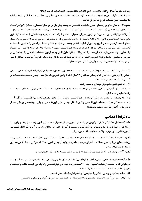ماه ) خواهند گذراند ، می توانند بطور مشروط در آزمون شرکت نمایند و در صورت قبولی و نداشتن منــع قــانونی از نظــر اداره نظاموظيفه ، طبق مقررات شروع به آموزش نمايند .

**تبصره ۴**—از میان حائزین رتبههای آزمون دانشنامه تخصصی هر رشته پیشiیاز در هر سال تحصیلی ، معــادل ۲ برابــر تعــداد رشتههای فوق تخصصی آن رشته پیشنیاز در صورتی که مشمول خدمت وظیفه عمومی باشند با رعایت سایر شرایط مندرج در آییننامه می توانند بصورت مشروط در آزمون پذیرش دستیار ثبتنام و شرکت نمایند و در صورت قبولی با اســتفاده از قــانون نحوه تامین هیاتعلمی و قانون اجازه ادامه تحصیل در مقاطع تحصیلی بالاتر به مشمولان این قانون ، تــا ۳۱ شــهریورماه ســال بعد از خدمت ترخیص شده و شروع به آموزش نمایند انتخاب رشته این افراد در هنگام ثبتنام بر اساس رتبه آزمون دانــشنامه تخصصی رشته پیشنیاز و تا سقف حداکثر ۲ نفر در هر رشته فوق تخصصی میباشد . بعنوان مثال در رشته داخلــی کــه تعــداد رشتههای فوق تخصصی وابسته به آن هفت رشته میباشد به نفرات اول تا چهاردهم آزمون دانشنامه تخصصی رشته داخلــی در صورتی که مشمول خدمت وظیفه عمومی باشند اجازه داده میشود در صورت دارا بودن سایر شرایط آییننامه و حداکثر ۲ نفــر در هر رشته فوق تخصصی در آزمون پذیرش دستیار شرکت نمایند .

۴/۵- داشتن شرایط سنی : هر داوطلب می تواند حداکثر تا سن مجاز ورود به دوره دستیاری { برای اعضای هیاتعلمی رســمی ( قطعی یا آزمایشی ) ۴۵ سال تمام و سایر داوطلبان ۴۲ سال تمام تا پایان شهریورماه سال بعد } بدون محــدودیت دفعــات در آزمون پذیرش دستیار شرکت نماید .

۴/۶– نداشتن نقص عضو موثر حرفهای برحسب رشته

دبیرخانه شورای آموزش پزشکی و تخصصی موظف است با همکاری هیاتهای ممتحنه ، نقص عضو موثر حرفـهای را برحــسب رشته تنظیم و اعلام نماید .

۴/۷- عدم اشتغال به تحصیل در یکی از رشتههای فوق تخصصی پزشکی و دورههای تکمیلی تخصصی ( فلوشیپ ) و Ph.D تبصره : دارندگان مدرک دانشنامه فوق تخصصی و قبول شدگان آزمون نهایی فوق تخصصی در یکی از رشتههای پزشکی مجــاز به شرکت در آزمون پذیرش دستیار نمیباشند .

#### ب ) شرایط اختصاصی

**ماده ۵**– معادل ۲۰٪ از کل ظرفیت پذیرش هر رشته در آزمون پذیرش دستیار به مشمولین قانون ایجاد تسهیلات بــرای ورود رزمندگان و جهادگران داوطلب بسیجی به دانشگاهها و موسسات آموزش عالی که حداقل ۸۰٪ نمره آخرین نفر اعلامشــده بــه آزمون شفاهی برابر ظرفیت را کسب نمایند ، اختصاص می یابد .

**تبصره ۱**— متقاضیان استفاده از سهمیه رزمندگان در کلیه مراحل امتحان کتبی و شفاهی و اعلام نتیجــه بــه عنــوان ســهمیه رزمنده منظور میشود بدین معنا که متقاضیان در صورت احراز هر رتبه از آزمون کتبی ، هنگــام معرفــی بــه شــفاهی بعنــوان رزمنده دیده خواهد شد .

**تبصره ٣-** در رشتههایی که ظرفیت پذیرش کمتر از ۵ نفر میباشد سهمیه مذکور قابل اعمال نیست .

**ماده ۶**— اعضای هیاتعلمی رسمی ( قطعی یا آزمایشی ) دانشگاههــای علــوم پزشــکی و خــدمات بهداشــتیدرمــانی و نیــز داوطلبانی که با استفاده از شرایط تبصره ۴ بند ۴/۴ قصد ورود به دورههای فوق تخصصی را دارند می بایست هنگــام ثبــتنــام یکی از مدارک مستند ذیل را حسب مورد ارائه نمایند :

الف ) حکم استادیاری رسمی ( قطعی یا آزمایشی ) و اعلام نیاز دانشگاه محل خدمت

ب ) گواهی رتبه در آزمون دانشنامه تخصصی رشته پیشiیاز ، به تائید دبیرخانه شورای آموزش پزشکی و تخصصی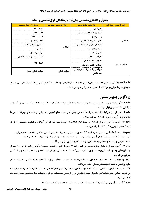| رشتههای فوقتخصصی         | رشته تخصصي پيشنياز | رشتههای فوق تخصصی                  | رشته تخصصی پیشنیاز |
|--------------------------|--------------------|------------------------------------|--------------------|
| كليه اطفال               | اطفال              | نفرولوژي                           |                    |
| قلب اطفال                |                    | بیماری های قلب و عروق              |                    |
| عفوني اطفال              |                    | روماتولوژي                         |                    |
| اعصاب اطفال              |                    | خون و سرطان بالغين                 | داخلی              |
| خون و سرطان اطفال        |                    | غدد درونریز و متابولیسم            |                    |
| نوزادان                  |                    | بیماریهای ریه                      |                    |
| گوارش اطفال              |                    | گوارش بالغين                       |                    |
| ایمونولوژی و آلرژی اطفال |                    | جراحي اطفال                        |                    |
| غدد اطفال                |                    | جراحى قفسه صدرى                    |                    |
|                          |                    | جراحي قلب و عروق                   | جراحىعمومى         |
| روانپزشکی اطفال          | روانپزشکی          | جراحی پلاستیک ، ترمیمے و<br>سوختگى |                    |

حدول رشتههای تخصصی پیش نیاز و رشتههای فوق تخصصی وابسته

**ماده V —** داوطلبان مشغول خدمت در یکی از وزار تخانهها ، سازمانها و نهادها در هنگام ثبتنام موظف به ارائه معرفــیiامــه از سازمان ذیربط مبنی بر موافقت با ماموریت آموزشی خود میباشند .

## ج ) آزمون پذیرش دستیار

**ماده ۸–** آزمون پذیرش دستیار بصورت متمرکز در همه رشتهها و در اسفندماه هر ســال توســط دبیرخانــه شــورای آمــوزش پزشکی و تخصصی برگزار میشود .

**ماده ۹**– هر داوطلب می تواند با توجه به رشته تخصصی پیشنیاز و ظرفیتهای تعیینشده ، یکی از رشتههای فوق *تخصــصی* را انتخاب و در آزمون پذیرش دستیار شرکت نماید .

**ماده ۱۰**– ثبتنام آزمون پذیرش دستیار در مدت زمان اعلامشده توسط دبیرخانه شورای آموزش پزشکی و تخصصی از طریق دانشگاههای علوم پزشکی کشور انجام میشود .

**تبصره :** ثبتنام از داوطلبان مشمول تبصره ۴ بند ۴/۴ به صورت متمركز در دبيرخانه شوراي آموزش پزشكي و تخصصي انجام ميگيرد . ۰۱/۱- مبلغ ثبتنام برای شرکت در آزمون پذیرش دستیار یکصدوشصتوپنجهزار ریال ( ۱۶۵/۰۰۰ ریال ) میباشد . ماده ١١- پس از ثبتنام و انتخاب رشته ، تغيير رشته به هيچ عنوان مجاز نميباشد .

ماده ۱۲- آزمون پذیرش دستیار فوق تخصصی در کلیه رشتهها بصورت کتبی و شفاهی میباشد ، آزمون کتبی دارای ۱۰۰ ســوال چندگزینهای بوده و داوطلبان برحسب اولویت نمره کتبی کسبشده به میزان دوبرابر ظرفیت هـر رشــته بــه آزمــون شــفاهی معرفي مي شوند .

١٢/١- چنانچه در مرحله احتساب نمره كل ، داوطلبين نمرات مشابه كسب نمايند اولويت با اعضاي هياتعلمــي دانــشگاههــاي علوم پزشکی و خدمات بهداشتیدرمانی کشور میباشد .

۱۲/۲– در مرحله آزمون شفاهی ، قبولشدگان نهایی آزمون پذیرش دستیار فوق تخصصی حداکثر تا ظرفیت هر رشته برگزیــده میشوند . اسامی پذیرفتهشدگان مشمول خدمات قانونی برای ترخیص به معاونت درمان ، دانشگاه یـا ســازمان محــل خــدمت اعلام مے شود

**ماده ۱۳**- محل آموزش بر اساس اولويت نمره كل كسبشده ، توسط داوطلب انتخاب مي5ردد .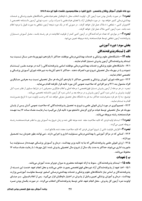**تبصره ۱**- در صورت یکسان بودن نمره آزمون کل ، اولویت انتخاب محل با داوطلبان عضو هیاتعلمی دانشگاههای علـوم پزشـکی و خـدمات بهداشتیدرمانی کشور خواهد بود . در مورد داوطلبان آزاد یا اعضای هیاتعلمی با نمـرات برابـر ، نمـره نهـایی آزمـون دانـشنامه تخصـصی ( ۱۳(دوبرابر کتبی + شفاهی ) ) ملاک عمل قرار خواهد گرفت . در صورتی که در یک دوره نتیجه آزمون شفاهی به صورت قبول یا مردود اعلام شده باشد ، نمره آزمون کتبی ملاک عمل قرار خواهد گرفت .

قبصوه ۲– در مواردی که تعداد شرکتکنندگان در آزمون کتبی کمتر از ظرفیت اعلامشده در هر رشـته باشـد ، محـل آمـوزش دسـتیاران پذيرفتهشده آزمون شفاهي توسط هياتممتحنه رشته مربوطه تعيين مىشود.

## بخش سوم : دوره آموزشي

## الف ) ثبتنام يذيرفتهشدگان

**ماده ۱۴**– دانشگاههای علوم پزشکی و خدمات بهداشتیدرمانی موظفند حداکثر تا پانزدهم شهریورماه هــر ســال نــسبت بــه ثبتنام پذيرفتەشدگان آزمون پذيرش دستيار اقدام نمايند .

۱۴/۱- دانشگاههای علوم پزشکی و خدمات بهداشتیدرمانی موظفند اسامی پذیرفتهشدگانی را کــه در موعــد مقــرر ثبــتنــام ننموده و یا در مهرماه سال تحصیلی شروع دوره انصراف دهند ، حداکثر تا دهم آبانماه به دبیرخانه شورای آمــوزش پزشــکی و تخصصے اعلام نمایند .

۱۴/۲- دبیرخانه شورای آموزش پزشکی و تخصصی حداکثر تا پانزدهم آبانماه هر سال تحصیلی نسبت بــه معرفــی جــایگزین افراد مشمول بند ۱۴/۱ و نیز افرادی که صلاحیت عمومی آنان مورد تائید قرار نگرفته اقدام مینماید .

تبصره : در هر مرحله از آزمون پذیرش دستیار فوق تخصصی ( مرحله اصلی و اعلام جایگزین منصرفین ) در شرایط مساوی از نظـر نمـره کـل اولویت پذیرش بر اساس نمره کتبی آزمون پذیرش و در مرحله بعد بر اساس نمره کل آزمون دانشنامه تخصصی میباشد .

توضیح : به ازاء هر فرد منصرفشده حداکثر سه نفر به دانشگاه محل تحصیل معرفی خواهد شد که برحسب اولویت نمره تا تاریخ معـینشـده اقدام به ثبتنام نمايند .

۱۴/۳- تصمیمگیری در مورد ارزش قبولی علمی و شروع به تحصیل پذیرفتهشدگانی که صلاحیت عمومی آنــان پــس از پایــان مهرماه هر سال تحصیلی توسط هیات مرکزی گزینش دانشجو مورد تائید قرار میگیـرد بـا رعایـت مفـاد مـاده ۱۶ بـه عهـده هياتممتحنه رشته مربوطه مىباشد .

**تبصره ۹**— ثبتنام اولیه فردی که تائید صلاحیت مجد شده موجه تلقی شده و زمان شروع بـه آمـوزش وی بـا نظـر هیـاتممتحنــه رشــته مربوطه تعيين مي5ردد .

ق**بصره ٣**– افزايش ظرفيت ناشي از شروع آموزش فردي كه تائيد صلاحيت مجدد شده بلامانع است .

۱۴/۴- کسانی که در مراکز آموزشی یا بهداشتیدرمانی مسئولیت اداری و اجرایی دارند ، نمی توانند بطور همزمان بـه تحـصیل بيردازند .

۱۴/۵- ارزش قبولی علمی پذیرفتهشدگانی که بنا به تائید وزیر بهداشت ، درمان و آمـوزش پزشــکی عهــدهدار مــسئولیت یــا ماموریت اداری میشوند حداکثر به مدت یک سال از شروع سال تحصیلی پذیرش شده ( اول مهرماه ) با رعایت مفـاد مـاده ۱۶ محفوظ مىباشد .

### ب ) تعهدات

**ماده ۱۵**– ثبتنام پذیرفتهشدگان ، منوط به ارائه تعهدنامه محضری به میزان دوبرابر مدت آموزش میباشد . ۱۵/۱– اخذ تعهد از پذیرفتهشدگان آزاد دورههای فوق *تخصصی* بصورت خاص میباشد و محل انجام تعهد خدمت این دســته از پذیرفتهشدگان بر اساس نیاز دانشگاههای علوم پزشکی و خدمات بهداشتیدرمـانی کــشور توســط معاونــت آموزشــی وزارت بهداشت ، درمان و آموزش پزشکی تعیین و قبل از پذیرش در اختیار داوطلبان قرار میگیرد . پس از اعلام قبـولی ، بـر مبنــای اولويت نمره آزمون كل پذيرش ، محل انجام تعهد خاص توسط پذيرفتهشدگان انتخاب ميگردد . در صورت يكسان بودن نمــره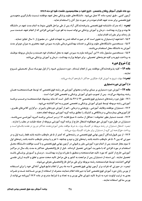آزمون کتبی ، طبق تبصره ماده ۱۳ عمل میشود . دانشگاههای علوم پزشکی محل تعهد موظفند نــسبت بکــارگیری متعهــدین فوق تخصصی برابر مدت تعهد اقدام نموده و در صورت نیاز آنان را استخدام نماید .

<mark>تبصره</mark> : ا<sub>د</sub>ائه مدرک دانشنامه فوق *تخصصی* پذیرفتهشدگان آزاد پس از طی مراحل قانونی منوط به اتمام مدت تعهد در دانشگاه ها بوده و وزارت بهداشت ، درمان و آموزش پزشکی می تواند نسبت به لغو دوره آموزشی افرادی که از انجام تعهد خــدمت ســر باز زدهاند برابر مقررات اقدام نماید .

۱۵/۲– اخذتعهد ازدستیاران به نحوی است که در صورت اضافه شدن به تعهدات قبلی ، در مجموع از ۱۰ سال تجاوز ننماید . ۱۵/۳- مستخدمین دانشگاههای علوم پزشکی و خدمات بهداشتیدرمانی ملزم به سپردن تعهد محضری به میزان دوبرابر مدت آموزش به دانشگاه محل استخدام می باشند .

۱۵/۴- مستخدمین مشمول ماده ۷ این آیینiامه ملزم به سپردن تعهد به محل استخدام خود هستند و سازمان مربوطه موظـف به پرداخت شهریه و کلیه هزینههای تحصیلی ، برابر ضوابط وزارت بهداشت ، درمان و آموزش پزشکی میباشد

## ج ) شروع دوره

**ماده ۱۶**– کلیه پذیرفتهشدگان موظفند پس از انجام ثبتنام ، دوره دستیاری خـود را از اول مهرمـاه سـال تحـصیلی شـروع نماىند .

**تبصره :** مهلت شروع به آموزش افراد جایگزین حداکثر تا پانزدهم آذرماه می باشد .

#### د ) آموزش دوره دستیاری

**ماده ۱۷**– آموزش دوره دستیاری بر مبنای برنامه و محتوای آموزشی هر رشته فوق *تخصصی* که توسط هیــاتممتحنــه همــان رشته پیشنهاد میگردد ، پس از تصویب شورای آموزش پزشکی و تخصصی قابل اجراء است .

۱۷/۱- طول دوره رشتههای دستیاری فوق تخصصی ۲۴ تا ۳۶ ماه کامل است که بنابه پیشنهاد هیاتممتحنــه برحــسب برنامــه آموزشي رشته مربوطه توسط شوراي آموزش پزشكي و ت*خصصي* تعيين و به اجرا گذاشته مي شود .

۱۷/۲- دستیاران موظفند وظایف آموزشی ، پژوهشی و درمانی ، اعم از آموزش دورههای پایین تر ، برگزاری کلاسهای نظـری ، کار آموزیهای بیمارستانی و درمانگاهی و کشیک را مطابق برنامه گروه آموزشی مربوطه انجام دهند .

١٧/٣- خدمت دستيار بطور تماموقت ( حداقل از ساعت ٨ صبح لغايت ١۶ ) و بــر اســاس برنامــه گــروه آموزشــي مــيباشــد . دستیاران در طول دوره آموزش حق هیچگونه اشتغال خارج از برنامه گروه آموزشی مربوطه از جمله طبابت در مطب را ندارند . تبصره : اشتغال دستیاران در رشته مربوطه در کلینیک ویژه ، به شرط موافقت بخش آموزشدهنده حداکثر دو روز در هفتـه بلامـانع اسـت و پرداخت حقالزحمه این گروه از دستیاران برابر مقررات کلینیک ویژه میباشد .

۱۷/۴- از بین قبولشدگان آزمون نهایی فوق تخصصی در رشتههایی که کمتر از ۵ نفر داوطلب داشته باشد فقط رتبــه اول و در صورتی که بین ۹-۵ نفر داوطلب داشته باشد رتبههای اول و دوم و چنانچه ۱۰ نفر و یا بیشتر داوطلب داشته باشد رتبههای اول تا سوم مجاز هستند پس از اتمام دوره آموزشی مقرر و قبولی در آزمون نهایی فوق تخصصی و با کسب موافقت دانــشگاه محــل استخدام در مورد افرادی که با ماموریت آموزشی تحصیل کردهاند ، قبل از فارغالتحصیلی حداکثر به مدت یک سال در مراکــز آموزشی خارج از کشور که مورد تائید هیاتممتحنه و منطبق با مقررات وزارت بهداشــت ، درمــان و آمــوزش پزشــکی باشــد تحصیل نمایند . این دسته از دستیاران پس از مراجعت به کشور و طی مراحل تائید صحت صدور و تعلق و تائیــد ارزش علمــی گواهی اخذشده توسط هیاتممتحنه رشته مربوطه برای طی مراحل فارغ|لتحصیلی معرفی میشوند .

تبصره : در صورتی که نفرات برتر آزمون نهایی فوق تخصصی تا سه ماه پس از اعلام نتایج قبولی آمادگی خود را برای اســتفاده از بورس پایان دوره آموزش فوق *تخصصی* کتباً به دبیرخانه اعلام ننمایند منصرف از استفاده از بورس شــناخته شــده و نفــرات بعدی به ترتیب اولویت نمره به شرط تائید شورای عالی بورس و به تعداد و با شرایط مندرج در ماده ۱۷/۴ آییننامه میتوانند از بورس مذکور استفاده نمایند .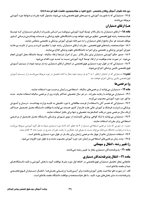۱۷/۵– دستیارانی که با ماموریت آموزشی به دورههای فوق *تخصص*ی وارد میشوند مشمول کلیه مقررات و ضوابط دوره آموزشی مربوطه مے باشند .

## هـ) ارتقای دستیاران

**ماده ۱۸−** ارتقای دستیاران به سال بالاتر توسط گروه آموزشی مربوطـه بـر اســاس مقــررات ارتقــای دســتیاران کــه توســط هیاتممتحنه رشته فوق *تخصصی* تنظیم میشود خواهد بود و دانشگاههای علوم پزشکی و خــدمات بهداشــتیدرمــانی کــشور موظف هستند هر سال نتایج ارتقای دستیاران را به دبیرخانه شورای آموزش پزشکی و تخصصی منعکس نمایند .

۱۸/۱– هیاتممتحنه رشتههای فوق تخصصی ، مقررات ارتقای دستیاران رشته خود را تنظـیم کــرده و پــس از تائیــد بیرخانــه شورای آموزش پزشکی و تخصصی برای اجرا به دانشگاههای علوم پزشکی ابلاغ مینمایند .

١٨/٢- صدور حكم آموزشي دستياران براي سال بالاتر ، پس از احراز شرايط ارتقاء ساليانه ، توسط دانشگاه محل آموزش انجام میشود . در صورت عدم موفقیت در ارتقاء توسط گروه آموزشی نسبت به تمدید دوره اقدام میشود .

۱۸/۳– دستیارانی که در طول دوره دستیاری فوق تخصصی در امتحان ارتقای دستیاری سه بار مردود شوند از سیستم آمــوزش فوق تخصصي باليني پزشكي اخراج ميشوند .

**تبصره :** دستیارانی که در امتحان ارتقای ۱ به ۲ دو بار مردود شوند مجاز به ادامه تحصیل در دوره مربوطه نمیباشـند و از سیـستم آمـوزش فوق تخصصي باليني پزشكي اخراج خواهند شد .

## **و) مرخصیها**

**ماده ۱۹**— دستیاران می توانند از مرخصیهای سالیانه ، استعلاجی و زایمان برحسب مورد استفاده نمایند .

۱۹/۱- دستیاران می توانند با رعایت مقررات ، در هر سال تحصیلی حداکثر پانزده روز از مرخصی سالیانه استفاده نمایند . مدت مذکور جزء دوره آموزشي محسوب ميگردد .

۱۹/۲- دستیارانی که همسر آنان با استفاده از فرصت مطالعاتی یا دوره تکمیلی به تائیــد وزارت بهداشــت ، درمــان و آمــوزش پزشکی و یا وزارت فرهنگ و آموزش عالی عازم خارج از کشور هستند میتوانند با موافقت دانــشگاه محــل تحــصیل حــداکثر ازیک سال مرخصی بدون دریافت کمک هزینه تحصیلی و تنها برای یکبار استفاده نمایند .

۱۹/۳- دستیاران می توانند با ارائه گواهی پزشکی تائیدشده از سوی شــورای پزشــکی دانــشگاه محــل تحــصیل از مرخــصی استعلاجي برابر مقررات استفاده نمايند .

تبصره : در صورتی که مدت مرخصی استعلاجی دستیار از ۶ ماه تجاوز کند ادامه دوره دستیاری منوط به نظر گروه آموزشی مربوطه میباشـد و بنا به درخواست دانشگاه دبیرخانه میتواند نسبت به معرفی فرد جایگزین با رعایت مقررات مندرج در تبصره ماده ۱۶ اقدام نماید . ۱۹/۴- استفاده دستیاران خانم از چهار ماه مرخصی زایمان برای یک بار در طول دوره دستیاری بلامانع است .

۱۹/۵– مدت زمان مرخصیهای استعلاجی و زایمان جزء دوره آموزش محسوب نشده و به طول دوره افزوده میشود .

## **ز) تغییر رشته ، انتقال و میهمانی**

**ماده ۲۰–** پذیرفتهشدگان دستیاری مجاز به تغییر رشته نمیباشند .

## ماده 21- انتقال پذیرفتهشدگان دستیاری

جابجایی محل تحصیل دستیاران فوق تخصصی در ۶ماهه اول دوره بشرط موافقت گروه یا بخش آموزشی و تائید دانــشگاههــای مبدا و مقصد بلامانع است .

الف ) در صورت لغو صلاحیت بخش آموزشدهنده برابر آیــیننامــه ارزشــیابی بخــشهــا ، انتقــال دســتیاران فــوق¤خصــصی پذیرفتهشده به سایر بخشهای مورد تائید ، با نظر هیاتممتحنه و موافقت دانشگاه مقصد بلامانع است .